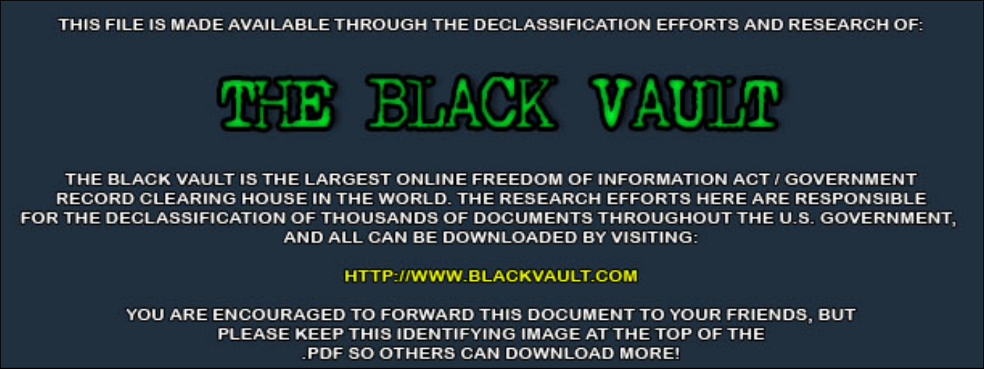THIS FILE IS MADE AVAILABLE THROUGH THE DECLASSIFICATION EFFORTS AND RESEARCH OF:



THE BLACK VAULT IS THE LARGEST ONLINE FREEDOM OF INFORMATION ACT / GOVERNMENT RECORD CLEARING HOUSE IN THE WORLD. THE RESEARCH EFFORTS HERE ARE RESPONSIBLE FOR THE DECLASSIFICATION OF THOUSANDS OF DOCUMENTS THROUGHOUT THE U.S. GOVERNMENT, AND ALL CAN BE DOWNLOADED BY VISITING:

**HTTP://WWW.BLACKVAULT.COM** 

YOU ARE ENCOURAGED TO FORWARD THIS DOCUMENT TO YOUR FRIENDS, BUT PLEASE KEEP THIS IDENTIFYING IMAGE AT THE TOP OF THE PDF SO OTHERS CAN DOWNLOAD MORE!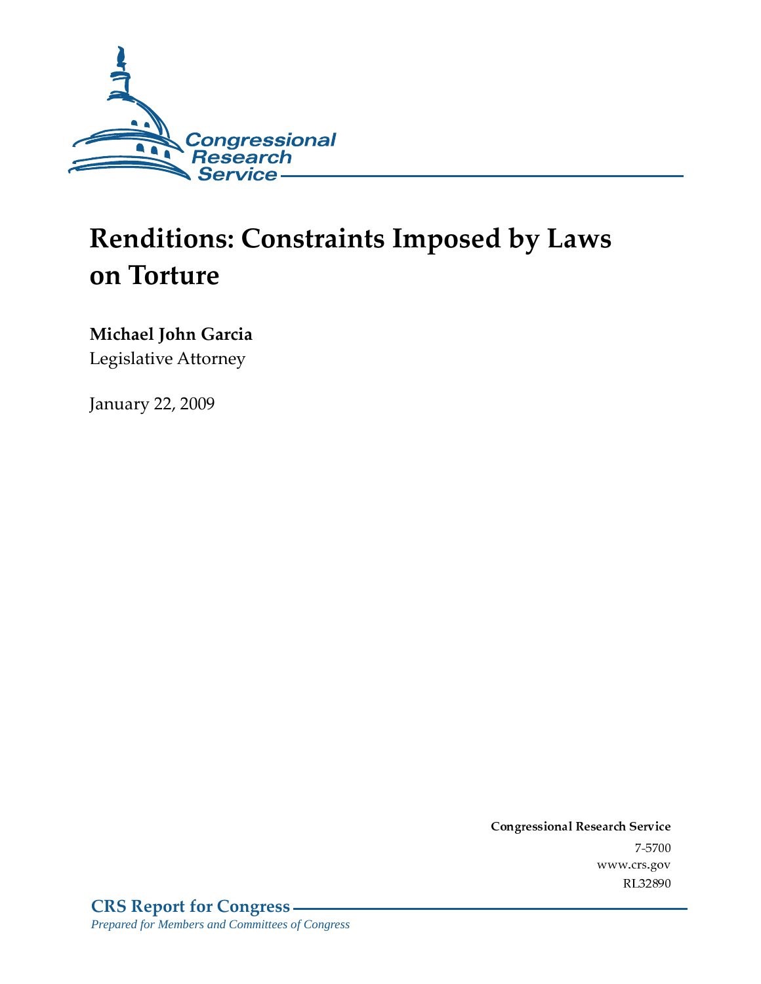

# **Renditions: Constraints Imposed by Laws** on Torture

## Michael John Garcia

Legislative Attorney

**January 22, 2009** 

Conglessional Research Service  $7 - 2700$ www.crs.gov RL32890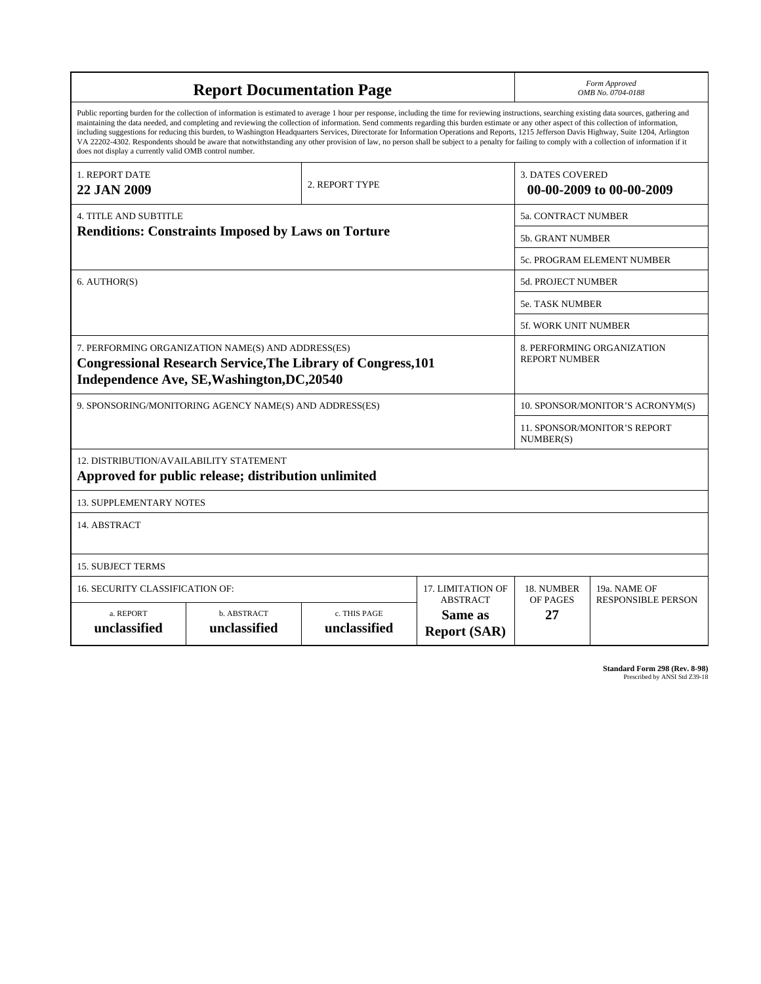| <b>Report Documentation Page</b>                                                                                                                                                                                                                                                                                                                                                                                                                                                                                                                                                                                                                                                                                                                                                                                                                                   |                                    |                              |                                                   |                                                     | Form Approved<br>OMB No. 0704-0188               |  |  |  |
|--------------------------------------------------------------------------------------------------------------------------------------------------------------------------------------------------------------------------------------------------------------------------------------------------------------------------------------------------------------------------------------------------------------------------------------------------------------------------------------------------------------------------------------------------------------------------------------------------------------------------------------------------------------------------------------------------------------------------------------------------------------------------------------------------------------------------------------------------------------------|------------------------------------|------------------------------|---------------------------------------------------|-----------------------------------------------------|--------------------------------------------------|--|--|--|
| Public reporting burden for the collection of information is estimated to average 1 hour per response, including the time for reviewing instructions, searching existing data sources, gathering and<br>maintaining the data needed, and completing and reviewing the collection of information. Send comments regarding this burden estimate or any other aspect of this collection of information,<br>including suggestions for reducing this burden, to Washington Headquarters Services, Directorate for Information Operations and Reports, 1215 Jefferson Davis Highway, Suite 1204, Arlington<br>VA 22202-4302. Respondents should be aware that notwithstanding any other provision of law, no person shall be subject to a penalty for failing to comply with a collection of information if it<br>does not display a currently valid OMB control number. |                                    |                              |                                                   |                                                     |                                                  |  |  |  |
| 1. REPORT DATE<br><b>22 JAN 2009</b>                                                                                                                                                                                                                                                                                                                                                                                                                                                                                                                                                                                                                                                                                                                                                                                                                               |                                    | 2. REPORT TYPE               |                                                   | <b>3. DATES COVERED</b><br>00-00-2009 to 00-00-2009 |                                                  |  |  |  |
| <b>4. TITLE AND SUBTITLE</b>                                                                                                                                                                                                                                                                                                                                                                                                                                                                                                                                                                                                                                                                                                                                                                                                                                       |                                    |                              |                                                   | 5a. CONTRACT NUMBER                                 |                                                  |  |  |  |
| <b>Renditions: Constraints Imposed by Laws on Torture</b>                                                                                                                                                                                                                                                                                                                                                                                                                                                                                                                                                                                                                                                                                                                                                                                                          |                                    |                              |                                                   | 5b. GRANT NUMBER                                    |                                                  |  |  |  |
|                                                                                                                                                                                                                                                                                                                                                                                                                                                                                                                                                                                                                                                                                                                                                                                                                                                                    |                                    |                              |                                                   | <b>5c. PROGRAM ELEMENT NUMBER</b>                   |                                                  |  |  |  |
| 6. AUTHOR(S)                                                                                                                                                                                                                                                                                                                                                                                                                                                                                                                                                                                                                                                                                                                                                                                                                                                       |                                    |                              |                                                   | <b>5d. PROJECT NUMBER</b>                           |                                                  |  |  |  |
|                                                                                                                                                                                                                                                                                                                                                                                                                                                                                                                                                                                                                                                                                                                                                                                                                                                                    |                                    |                              |                                                   | 5e. TASK NUMBER                                     |                                                  |  |  |  |
|                                                                                                                                                                                                                                                                                                                                                                                                                                                                                                                                                                                                                                                                                                                                                                                                                                                                    |                                    |                              |                                                   |                                                     | 5f. WORK UNIT NUMBER                             |  |  |  |
| 7. PERFORMING ORGANIZATION NAME(S) AND ADDRESS(ES)<br><b>Congressional Research Service, The Library of Congress, 101</b><br>Independence Ave, SE, Washington, DC, 20540                                                                                                                                                                                                                                                                                                                                                                                                                                                                                                                                                                                                                                                                                           |                                    |                              |                                                   | 8. PERFORMING ORGANIZATION<br><b>REPORT NUMBER</b>  |                                                  |  |  |  |
| 9. SPONSORING/MONITORING AGENCY NAME(S) AND ADDRESS(ES)                                                                                                                                                                                                                                                                                                                                                                                                                                                                                                                                                                                                                                                                                                                                                                                                            |                                    |                              |                                                   | 10. SPONSOR/MONITOR'S ACRONYM(S)                    |                                                  |  |  |  |
|                                                                                                                                                                                                                                                                                                                                                                                                                                                                                                                                                                                                                                                                                                                                                                                                                                                                    |                                    |                              |                                                   |                                                     | <b>11. SPONSOR/MONITOR'S REPORT</b><br>NUMBER(S) |  |  |  |
| 12. DISTRIBUTION/AVAILABILITY STATEMENT<br>Approved for public release; distribution unlimited                                                                                                                                                                                                                                                                                                                                                                                                                                                                                                                                                                                                                                                                                                                                                                     |                                    |                              |                                                   |                                                     |                                                  |  |  |  |
| <b>13. SUPPLEMENTARY NOTES</b>                                                                                                                                                                                                                                                                                                                                                                                                                                                                                                                                                                                                                                                                                                                                                                                                                                     |                                    |                              |                                                   |                                                     |                                                  |  |  |  |
| 14. ABSTRACT                                                                                                                                                                                                                                                                                                                                                                                                                                                                                                                                                                                                                                                                                                                                                                                                                                                       |                                    |                              |                                                   |                                                     |                                                  |  |  |  |
| <b>15. SUBJECT TERMS</b>                                                                                                                                                                                                                                                                                                                                                                                                                                                                                                                                                                                                                                                                                                                                                                                                                                           |                                    |                              |                                                   |                                                     |                                                  |  |  |  |
| 16. SECURITY CLASSIFICATION OF:                                                                                                                                                                                                                                                                                                                                                                                                                                                                                                                                                                                                                                                                                                                                                                                                                                    | 17. LIMITATION OF                  | 18. NUMBER                   | 19a. NAME OF                                      |                                                     |                                                  |  |  |  |
| a. REPORT<br>unclassified                                                                                                                                                                                                                                                                                                                                                                                                                                                                                                                                                                                                                                                                                                                                                                                                                                          | <b>b. ABSTRACT</b><br>unclassified | c. THIS PAGE<br>unclassified | <b>ABSTRACT</b><br>Same as<br><b>Report (SAR)</b> | OF PAGES<br>27                                      | <b>RESPONSIBLE PERSON</b>                        |  |  |  |

**Standard Form 298 (Rev. 8-98)**<br>Prescribed by ANSI Std Z39-18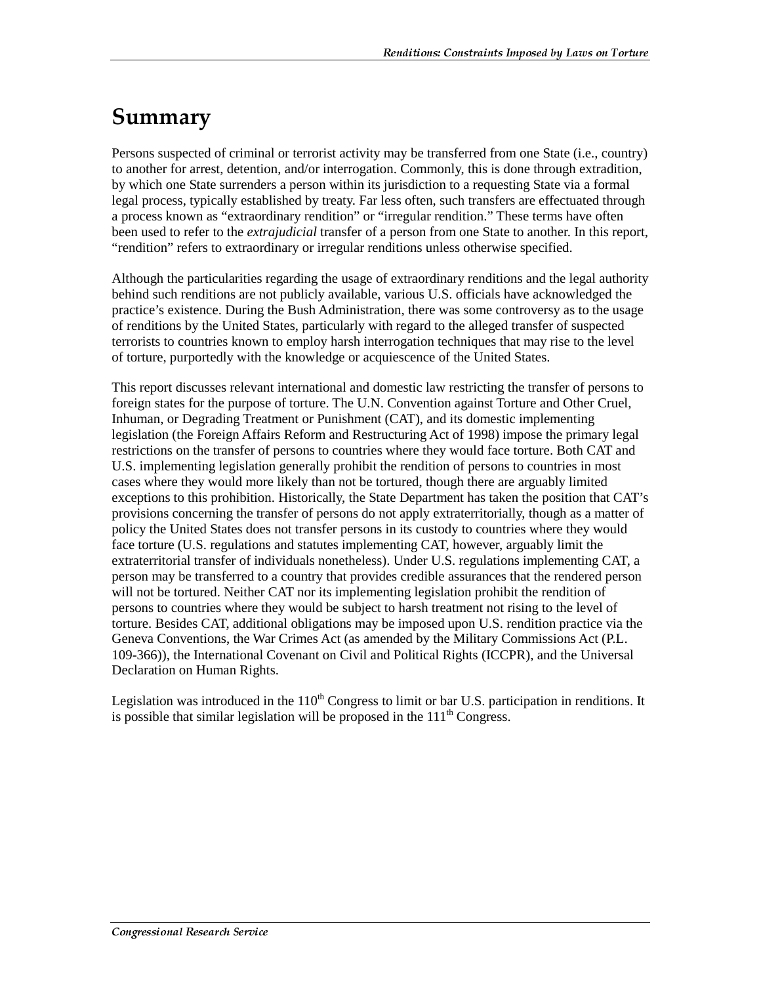## Summary

Persons suspected of criminal or terrorist activity may be transferred from one State (i.e., country) to another for arrest, detention, and/or interrogation. Commonly, this is done through extradition, by which one State surrenders a person within its jurisdiction to a requesting State via a formal legal process, typically established by treaty. Far less often, such transfers are effectuated through a process known as "extraordinary rendition" or "irregular rendition." These terms have often been used to refer to the *extrajudicial* transfer of a person from one State to another. In this report, "rendition" refers to extraordinary or irregular renditions unless otherwise specified.

Although the particularities regarding the usage of extraordinary renditions and the legal authority behind such renditions are not publicly available, various U.S. officials have acknowledged the practice's existence. During the Bush Administration, there was some controversy as to the usage of renditions by the United States, particularly with regard to the alleged transfer of suspected terrorists to countries known to employ harsh interrogation techniques that may rise to the level of torture, purportedly with the knowledge or acquiescence of the United States.

This report discusses relevant international and domestic law restricting the transfer of persons to foreign states for the purpose of torture. The U.N. Convention against Torture and Other Cruel, Inhuman, or Degrading Treatment or Punishment (CAT), and its domestic implementing legislation (the Foreign Affairs Reform and Restructuring Act of 1998) impose the primary legal restrictions on the transfer of persons to countries where they would face torture. Both CAT and U.S. implementing legislation generally prohibit the rendition of persons to countries in most cases where they would more likely than not be tortured, though there are arguably limited exceptions to this prohibition. Historically, the State Department has taken the position that CAT's provisions concerning the transfer of persons do not apply extraterritorially, though as a matter of policy the United States does not transfer persons in its custody to countries where they would face torture (U.S. regulations and statutes implementing CAT, however, arguably limit the extraterritorial transfer of individuals nonetheless). Under U.S. regulations implementing CAT, a person may be transferred to a country that provides credible assurances that the rendered person will not be tortured. Neither CAT nor its implementing legislation prohibit the rendition of persons to countries where they would be subject to harsh treatment not rising to the level of torture. Besides CAT, additional obligations may be imposed upon U.S. rendition practice via the Geneva Conventions, the War Crimes Act (as amended by the Military Commissions Act (P.L. 109-366)), the International Covenant on Civil and Political Rights (ICCPR), and the Universal Declaration on Human Rights.

Legislation was introduced in the  $110<sup>th</sup>$  Congress to limit or bar U.S. participation in renditions. It is possible that similar legislation will be proposed in the  $111<sup>th</sup>$  Congress.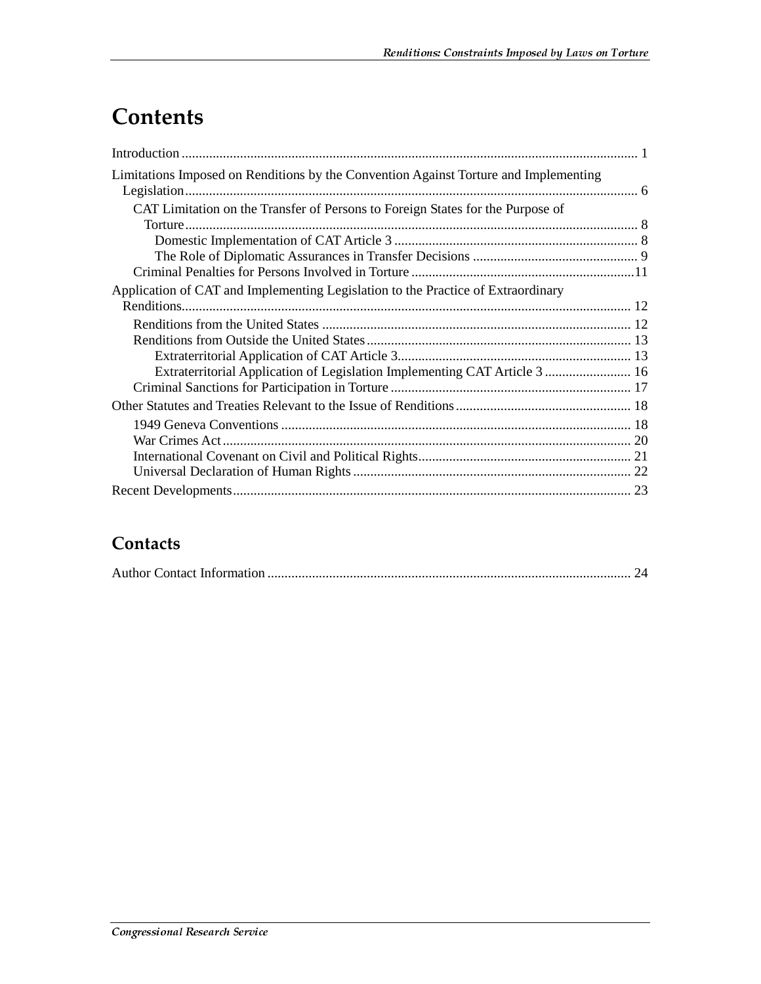## **Contents**

| Limitations Imposed on Renditions by the Convention Against Torture and Implementing |
|--------------------------------------------------------------------------------------|
| CAT Limitation on the Transfer of Persons to Foreign States for the Purpose of       |
|                                                                                      |
|                                                                                      |
|                                                                                      |
| Application of CAT and Implementing Legislation to the Practice of Extraordinary     |
|                                                                                      |
|                                                                                      |
|                                                                                      |
|                                                                                      |
| Extraterritorial Application of Legislation Implementing CAT Article 3  16           |
|                                                                                      |
|                                                                                      |
|                                                                                      |
|                                                                                      |
|                                                                                      |
|                                                                                      |
|                                                                                      |

### Contacts

|--|--|--|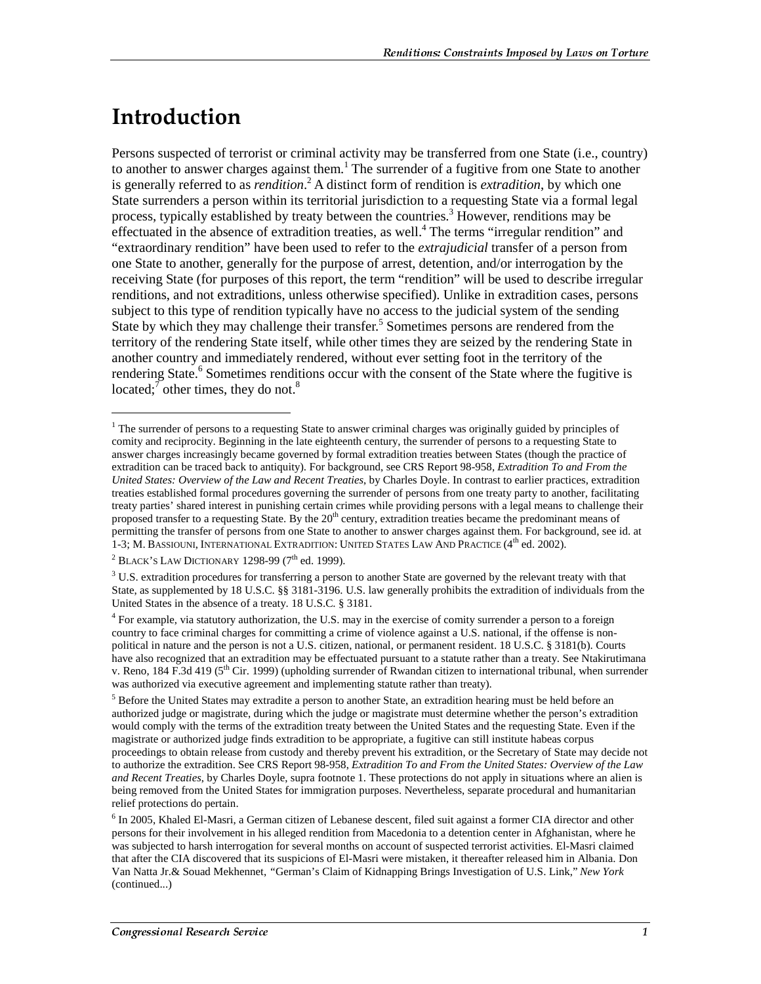## <u>Introduction</u>

 $\overline{a}$ 

Persons suspected of terrorist or criminal activity may be transferred from one State (i.e., country) to another to answer charges against them.<sup>1</sup> The surrender of a fugitive from one State to another is generally referred to as *rendition*.<sup>2</sup> A distinct form of rendition is *extradition*, by which one State surrenders a person within its territorial jurisdiction to a requesting State via a formal legal process, typically established by treaty between the countries.<sup>3</sup> However, renditions may be effectuated in the absence of extradition treaties, as well.<sup>4</sup> The terms "irregular rendition" and "extraordinary rendition" have been used to refer to the *extrajudicial* transfer of a person from one State to another, generally for the purpose of arrest, detention, and/or interrogation by the receiving State (for purposes of this report, the term "rendition" will be used to describe irregular renditions, and not extraditions, unless otherwise specified). Unlike in extradition cases, persons subject to this type of rendition typically have no access to the judicial system of the sending State by which they may challenge their transfer.<sup>5</sup> Sometimes persons are rendered from the territory of the rendering State itself, while other times they are seized by the rendering State in another country and immediately rendered, without ever setting foot in the territory of the rendering State.<sup>6</sup> Sometimes renditions occur with the consent of the State where the fugitive is located; $\overline{7}$  other times, they do not.<sup>8</sup>

<sup>&</sup>lt;sup>1</sup> The surrender of persons to a requesting State to answer criminal charges was originally guided by principles of comity and reciprocity. Beginning in the late eighteenth century, the surrender of persons to a requesting State to answer charges increasingly became governed by formal extradition treaties between States (though the practice of extradition can be traced back to antiquity). For background, see CRS Report 98-958, *Extradition To and From the United States: Overview of the Law and Recent Treaties*, by Charles Doyle. In contrast to earlier practices, extradition treaties established formal procedures governing the surrender of persons from one treaty party to another, facilitating treaty parties' shared interest in punishing certain crimes while providing persons with a legal means to challenge their proposed transfer to a requesting State. By the 20<sup>th</sup> century, extradition treaties became the predominant means of permitting the transfer of persons from one State to another to answer charges against them. For background, see id. at 1-3; M. BASSIOUNI, INTERNATIONAL EXTRADITION: UNITED STATES LAW AND PRACTICE (4<sup>th</sup> ed. 2002).

 $^2$  Black's Law Dictionary 1298-99 (7<sup>th</sup> ed. 1999).

 $3$  U.S. extradition procedures for transferring a person to another State are governed by the relevant treaty with that State, as supplemented by 18 U.S.C. §§ 3181-3196. U.S. law generally prohibits the extradition of individuals from the United States in the absence of a treaty. 18 U.S.C. § 3181.

<sup>4</sup> For example, via statutory authorization, the U.S. may in the exercise of comity surrender a person to a foreign country to face criminal charges for committing a crime of violence against a U.S. national, if the offense is nonpolitical in nature and the person is not a U.S. citizen, national, or permanent resident. 18 U.S.C. § 3181(b). Courts have also recognized that an extradition may be effectuated pursuant to a statute rather than a treaty. See Ntakirutimana v. Reno, 184 F.3d 419 ( $5<sup>th</sup>$  Cir. 1999) (upholding surrender of Rwandan citizen to international tribunal, when surrender was authorized via executive agreement and implementing statute rather than treaty).

<sup>&</sup>lt;sup>5</sup> Before the United States may extradite a person to another State, an extradition hearing must be held before an authorized judge or magistrate, during which the judge or magistrate must determine whether the person's extradition would comply with the terms of the extradition treaty between the United States and the requesting State. Even if the magistrate or authorized judge finds extradition to be appropriate, a fugitive can still institute habeas corpus proceedings to obtain release from custody and thereby prevent his extradition, or the Secretary of State may decide not to authorize the extradition. See CRS Report 98-958, *Extradition To and From the United States: Overview of the Law and Recent Treaties*, by Charles Doyle, supra footnote 1. These protections do not apply in situations where an alien is being removed from the United States for immigration purposes. Nevertheless, separate procedural and humanitarian relief protections do pertain.

<sup>&</sup>lt;sup>6</sup> In 2005, Khaled El-Masri, a German citizen of Lebanese descent, filed suit against a former CIA director and other persons for their involvement in his alleged rendition from Macedonia to a detention center in Afghanistan, where he was subjected to harsh interrogation for several months on account of suspected terrorist activities. El-Masri claimed that after the CIA discovered that its suspicions of El-Masri were mistaken, it thereafter released him in Albania. Don Van Natta Jr.& Souad Mekhennet, *"*German's Claim of Kidnapping Brings Investigation of U.S. Link," *New York*  (continued...)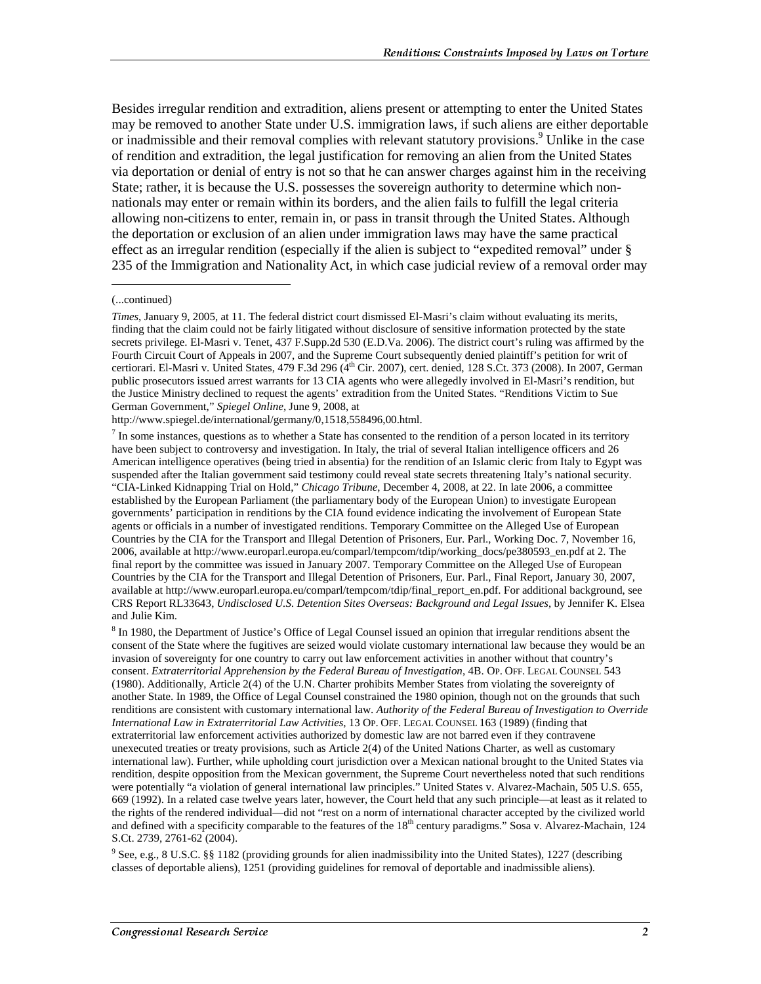Besides irregular rendition and extradition, aliens present or attempting to enter the United States may be removed to another State under U.S. immigration laws, if such aliens are either deportable or inadmissible and their removal complies with relevant statutory provisions.<sup>9</sup> Unlike in the case of rendition and extradition, the legal justification for removing an alien from the United States via deportation or denial of entry is not so that he can answer charges against him in the receiving State; rather, it is because the U.S. possesses the sovereign authority to determine which nonnationals may enter or remain within its borders, and the alien fails to fulfill the legal criteria allowing non-citizens to enter, remain in, or pass in transit through the United States. Although the deportation or exclusion of an alien under immigration laws may have the same practical effect as an irregular rendition (especially if the alien is subject to "expedited removal" under § 235 of the Immigration and Nationality Act, in which case judicial review of a removal order may

j

http://www.spiegel.de/international/germany/0,1518,558496,00.html.

<sup>9</sup> See, e.g., 8 U.S.C. §§ 1182 (providing grounds for alien inadmissibility into the United States), 1227 (describing classes of deportable aliens), 1251 (providing guidelines for removal of deportable and inadmissible aliens).

<sup>(...</sup>continued)

*Times*, January 9, 2005, at 11. The federal district court dismissed El-Masri's claim without evaluating its merits, finding that the claim could not be fairly litigated without disclosure of sensitive information protected by the state secrets privilege. El-Masri v. Tenet, 437 F.Supp.2d 530 (E.D.Va. 2006). The district court's ruling was affirmed by the Fourth Circuit Court of Appeals in 2007, and the Supreme Court subsequently denied plaintiff's petition for writ of certiorari. El-Masri v. United States, 479 F.3d 296 (4th Cir. 2007), cert. denied, 128 S.Ct. 373 (2008). In 2007, German public prosecutors issued arrest warrants for 13 CIA agents who were allegedly involved in El-Masri's rendition, but the Justice Ministry declined to request the agents' extradition from the United States. "Renditions Victim to Sue German Government," *Spiegel Online*, June 9, 2008, at

 $<sup>7</sup>$  In some instances, questions as to whether a State has consented to the rendition of a person located in its territory</sup> have been subject to controversy and investigation. In Italy, the trial of several Italian intelligence officers and 26 American intelligence operatives (being tried in absentia) for the rendition of an Islamic cleric from Italy to Egypt was suspended after the Italian government said testimony could reveal state secrets threatening Italy's national security. "CIA-Linked Kidnapping Trial on Hold," *Chicago Tribune*, December 4, 2008, at 22. In late 2006, a committee established by the European Parliament (the parliamentary body of the European Union) to investigate European governments' participation in renditions by the CIA found evidence indicating the involvement of European State agents or officials in a number of investigated renditions. Temporary Committee on the Alleged Use of European Countries by the CIA for the Transport and Illegal Detention of Prisoners, Eur. Parl., Working Doc. 7, November 16, 2006, available at http://www.europarl.europa.eu/comparl/tempcom/tdip/working\_docs/pe380593\_en.pdf at 2. The final report by the committee was issued in January 2007. Temporary Committee on the Alleged Use of European Countries by the CIA for the Transport and Illegal Detention of Prisoners, Eur. Parl., Final Report, January 30, 2007, available at http://www.europarl.europa.eu/comparl/tempcom/tdip/final\_report\_en.pdf. For additional background, see CRS Report RL33643, *Undisclosed U.S. Detention Sites Overseas: Background and Legal Issues*, by Jennifer K. Elsea and Julie Kim.

 $8$  In 1980, the Department of Justice's Office of Legal Counsel issued an opinion that irregular renditions absent the consent of the State where the fugitives are seized would violate customary international law because they would be an invasion of sovereignty for one country to carry out law enforcement activities in another without that country's consent. *Extraterritorial Apprehension by the Federal Bureau of Investigation*, 4B. OP. OFF. LEGAL COUNSEL 543 (1980). Additionally, Article 2(4) of the U.N. Charter prohibits Member States from violating the sovereignty of another State. In 1989, the Office of Legal Counsel constrained the 1980 opinion, though not on the grounds that such renditions are consistent with customary international law. *Authority of the Federal Bureau of Investigation to Override International Law in Extraterritorial Law Activities*, 13 OP. OFF. LEGAL COUNSEL 163 (1989) (finding that extraterritorial law enforcement activities authorized by domestic law are not barred even if they contravene unexecuted treaties or treaty provisions, such as Article 2(4) of the United Nations Charter, as well as customary international law). Further, while upholding court jurisdiction over a Mexican national brought to the United States via rendition, despite opposition from the Mexican government, the Supreme Court nevertheless noted that such renditions were potentially "a violation of general international law principles." United States v. Alvarez-Machain, 505 U.S. 655, 669 (1992). In a related case twelve years later, however, the Court held that any such principle—at least as it related to the rights of the rendered individual—did not "rest on a norm of international character accepted by the civilized world and defined with a specificity comparable to the features of the 18<sup>th</sup> century paradigms." Sosa v. Alvarez-Machain, 124 S.Ct. 2739, 2761-62 (2004).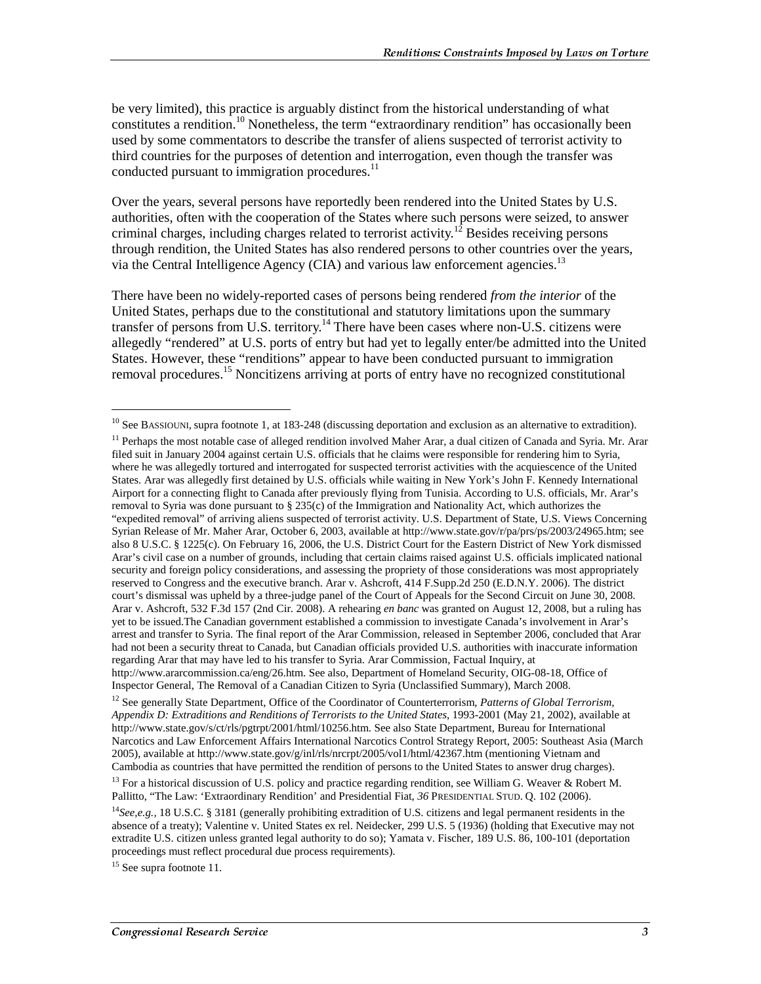be very limited), this practice is arguably distinct from the historical understanding of what constitutes a rendition.<sup>10</sup> Nonetheless, the term "extraordinary rendition" has occasionally been used by some commentators to describe the transfer of aliens suspected of terrorist activity to third countries for the purposes of detention and interrogation, even though the transfer was conducted pursuant to immigration procedures.<sup>11</sup>

Over the years, several persons have reportedly been rendered into the United States by U.S. authorities, often with the cooperation of the States where such persons were seized, to answer criminal charges, including charges related to terrorist activity.<sup>12</sup> Besides receiving persons through rendition, the United States has also rendered persons to other countries over the years, via the Central Intelligence Agency (CIA) and various law enforcement agencies.<sup>13</sup>

There have been no widely-reported cases of persons being rendered *from the interior* of the United States, perhaps due to the constitutional and statutory limitations upon the summary transfer of persons from U.S. territory.<sup>14</sup> There have been cases where non-U.S. citizens were allegedly "rendered" at U.S. ports of entry but had yet to legally enter/be admitted into the United States. However, these "renditions" appear to have been conducted pursuant to immigration removal procedures.<sup>15</sup> Noncitizens arriving at ports of entry have no recognized constitutional

<sup>12</sup> See generally State Department, Office of the Coordinator of Counterterrorism, *Patterns of Global Terrorism*, *Appendix D: Extraditions and Renditions of Terrorists to the United States*, 1993-2001 (May 21, 2002), available at http://www.state.gov/s/ct/rls/pgtrpt/2001/html/10256.htm. See also State Department, Bureau for International Narcotics and Law Enforcement Affairs International Narcotics Control Strategy Report, 2005: Southeast Asia (March 2005), available at http://www.state.gov/g/inl/rls/nrcrpt/2005/vol1/html/42367.htm (mentioning Vietnam and Cambodia as countries that have permitted the rendition of persons to the United States to answer drug charges).

<sup>15</sup> See supra footnote 11.

<sup>&</sup>lt;sup>10</sup> See BASSIOUNI, supra footnote 1, at 183-248 (discussing deportation and exclusion as an alternative to extradition).

<sup>&</sup>lt;sup>11</sup> Perhaps the most notable case of alleged rendition involved Maher Arar, a dual citizen of Canada and Syria. Mr. Arar filed suit in January 2004 against certain U.S. officials that he claims were responsible for rendering him to Syria, where he was allegedly tortured and interrogated for suspected terrorist activities with the acquiescence of the United States. Arar was allegedly first detained by U.S. officials while waiting in New York's John F. Kennedy International Airport for a connecting flight to Canada after previously flying from Tunisia. According to U.S. officials, Mr. Arar's removal to Syria was done pursuant to § 235(c) of the Immigration and Nationality Act, which authorizes the "expedited removal" of arriving aliens suspected of terrorist activity. U.S. Department of State, U.S. Views Concerning Syrian Release of Mr. Maher Arar, October 6, 2003, available at http://www.state.gov/r/pa/prs/ps/2003/24965.htm; see also 8 U.S.C. § 1225(c). On February 16, 2006, the U.S. District Court for the Eastern District of New York dismissed Arar's civil case on a number of grounds, including that certain claims raised against U.S. officials implicated national security and foreign policy considerations, and assessing the propriety of those considerations was most appropriately reserved to Congress and the executive branch. Arar v. Ashcroft, 414 F.Supp.2d 250 (E.D.N.Y. 2006). The district court's dismissal was upheld by a three-judge panel of the Court of Appeals for the Second Circuit on June 30, 2008. Arar v. Ashcroft, 532 F.3d 157 (2nd Cir. 2008). A rehearing *en banc* was granted on August 12, 2008, but a ruling has yet to be issued.The Canadian government established a commission to investigate Canada's involvement in Arar's arrest and transfer to Syria. The final report of the Arar Commission, released in September 2006, concluded that Arar had not been a security threat to Canada, but Canadian officials provided U.S. authorities with inaccurate information regarding Arar that may have led to his transfer to Syria. Arar Commission, Factual Inquiry, at http://www.ararcommission.ca/eng/26.htm. See also, Department of Homeland Security, OIG-08-18, Office of Inspector General, The Removal of a Canadian Citizen to Syria (Unclassified Summary), March 2008.

<sup>&</sup>lt;sup>13</sup> For a historical discussion of U.S. policy and practice regarding rendition, see William G. Weaver & Robert M. Pallitto, "The Law: 'Extraordinary Rendition' and Presidential Fiat, *36* PRESIDENTIAL STUD. Q. 102 (2006).

<sup>14</sup>*See,e.g.,* 18 U.S.C. § 3181 (generally prohibiting extradition of U.S. citizens and legal permanent residents in the absence of a treaty); Valentine v. United States ex rel. Neidecker, 299 U.S. 5 (1936) (holding that Executive may not extradite U.S. citizen unless granted legal authority to do so); Yamata v. Fischer, 189 U.S. 86, 100-101 (deportation proceedings must reflect procedural due process requirements).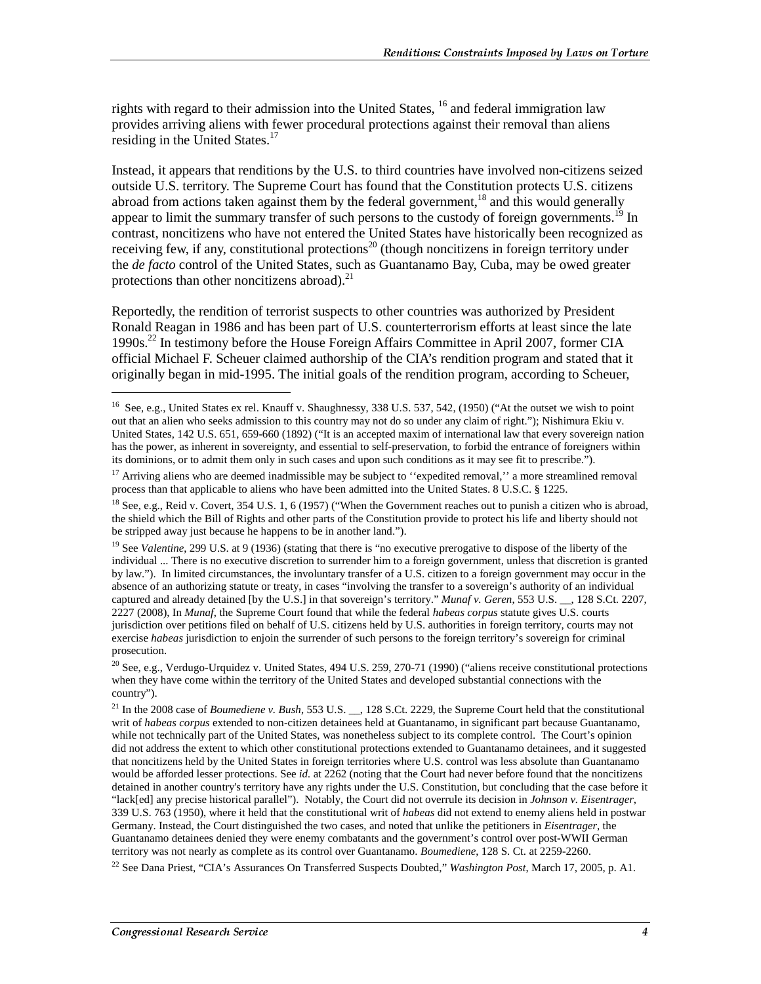rights with regard to their admission into the United States,  $^{16}$  and federal immigration law provides arriving aliens with fewer procedural protections against their removal than aliens residing in the United States.<sup>17</sup>

Instead, it appears that renditions by the U.S. to third countries have involved non-citizens seized outside U.S. territory. The Supreme Court has found that the Constitution protects U.S. citizens abroad from actions taken against them by the federal government,<sup>18</sup> and this would generally appear to limit the summary transfer of such persons to the custody of foreign governments.<sup>19</sup> In contrast, noncitizens who have not entered the United States have historically been recognized as receiving few, if any, constitutional protections<sup>20</sup> (though noncitizens in foreign territory under the *de facto* control of the United States, such as Guantanamo Bay, Cuba, may be owed greater protections than other noncitizens abroad). $^{21}$ 

Reportedly, the rendition of terrorist suspects to other countries was authorized by President Ronald Reagan in 1986 and has been part of U.S. counterterrorism efforts at least since the late 1990s.22 In testimony before the House Foreign Affairs Committee in April 2007, former CIA official Michael F. Scheuer claimed authorship of the CIA's rendition program and stated that it originally began in mid-1995. The initial goals of the rendition program, according to Scheuer,

<sup>&</sup>lt;sup>16</sup> See, e.g., United States ex rel. Knauff v. Shaughnessy, 338 U.S. 537, 542, (1950) ("At the outset we wish to point out that an alien who seeks admission to this country may not do so under any claim of right."); Nishimura Ekiu v. United States, 142 U.S. 651, 659-660 (1892) ("It is an accepted maxim of international law that every sovereign nation has the power, as inherent in sovereignty, and essential to self-preservation, to forbid the entrance of foreigners within its dominions, or to admit them only in such cases and upon such conditions as it may see fit to prescribe.").

<sup>&</sup>lt;sup>17</sup> Arriving aliens who are deemed inadmissible may be subject to "expedited removal," a more streamlined removal process than that applicable to aliens who have been admitted into the United States. 8 U.S.C. § 1225.

<sup>&</sup>lt;sup>18</sup> See, e.g., Reid v. Covert, 354 U.S. 1, 6 (1957) ("When the Government reaches out to punish a citizen who is abroad, the shield which the Bill of Rights and other parts of the Constitution provide to protect his life and liberty should not be stripped away just because he happens to be in another land.").

<sup>&</sup>lt;sup>19</sup> See *Valentine*, 299 U.S. at 9 (1936) (stating that there is "no executive prerogative to dispose of the liberty of the individual ... There is no executive discretion to surrender him to a foreign government, unless that discretion is granted by law."). In limited circumstances, the involuntary transfer of a U.S. citizen to a foreign government may occur in the absence of an authorizing statute or treaty, in cases "involving the transfer to a sovereign's authority of an individual captured and already detained [by the U.S.] in that sovereign's territory." *Munaf v. Geren*, 553 U.S. \_\_, 128 S.Ct. 2207, 2227 (2008), In *Munaf*, the Supreme Court found that while the federal *habeas corpus* statute gives U.S. courts jurisdiction over petitions filed on behalf of U.S. citizens held by U.S. authorities in foreign territory, courts may not exercise *habeas* jurisdiction to enjoin the surrender of such persons to the foreign territory's sovereign for criminal prosecution.

<sup>&</sup>lt;sup>20</sup> See, e.g., Verdugo-Urquidez v. United States, 494 U.S. 259, 270-71 (1990) ("aliens receive constitutional protections when they have come within the territory of the United States and developed substantial connections with the country").

<sup>&</sup>lt;sup>21</sup> In the 2008 case of *Boumediene v. Bush*, 553 U.S. <sub>\_\_</sub>, 128 S.Ct. 2229, the Supreme Court held that the constitutional writ of *habeas corpus* extended to non-citizen detainees held at Guantanamo, in significant part because Guantanamo, while not technically part of the United States, was nonetheless subject to its complete control. The Court's opinion did not address the extent to which other constitutional protections extended to Guantanamo detainees, and it suggested that noncitizens held by the United States in foreign territories where U.S. control was less absolute than Guantanamo would be afforded lesser protections. See *id.* at 2262 (noting that the Court had never before found that the noncitizens detained in another country's territory have any rights under the U.S. Constitution, but concluding that the case before it "lack[ed] any precise historical parallel"). Notably, the Court did not overrule its decision in *Johnson v. Eisentrager*, 339 U.S. 763 (1950), where it held that the constitutional writ of *habeas* did not extend to enemy aliens held in postwar Germany. Instead, the Court distinguished the two cases, and noted that unlike the petitioners in *Eisentrager*, the Guantanamo detainees denied they were enemy combatants and the government's control over post-WWII German territory was not nearly as complete as its control over Guantanamo. *Boumediene*, 128 S. Ct. at 2259-2260.

<sup>22</sup> See Dana Priest, "CIA's Assurances On Transferred Suspects Doubted," *Washington Post*, March 17, 2005, p. A1.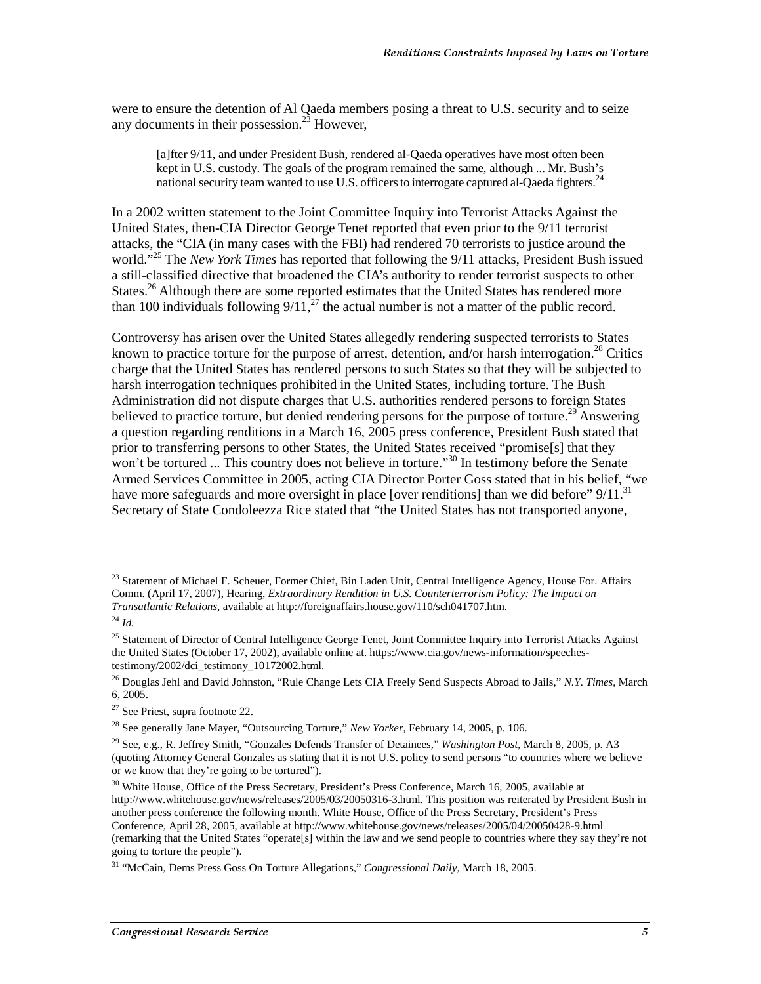were to ensure the detention of Al Qaeda members posing a threat to U.S. security and to seize any documents in their possession.<sup>23</sup> However,

[a]fter 9/11, and under President Bush, rendered al-Qaeda operatives have most often been kept in U.S. custody. The goals of the program remained the same, although ... Mr. Bush's national security team wanted to use U.S. officers to interrogate captured al-Qaeda fighters.<sup>24</sup>

In a 2002 written statement to the Joint Committee Inquiry into Terrorist Attacks Against the United States, then-CIA Director George Tenet reported that even prior to the 9/11 terrorist attacks, the "CIA (in many cases with the FBI) had rendered 70 terrorists to justice around the world."25 The *New York Times* has reported that following the 9/11 attacks, President Bush issued a still-classified directive that broadened the CIA's authority to render terrorist suspects to other States.<sup>26</sup> Although there are some reported estimates that the United States has rendered more than 100 individuals following  $9/11$ ,<sup>27</sup> the actual number is not a matter of the public record.

Controversy has arisen over the United States allegedly rendering suspected terrorists to States known to practice torture for the purpose of arrest, detention, and/or harsh interrogation.<sup>28</sup> Critics charge that the United States has rendered persons to such States so that they will be subjected to harsh interrogation techniques prohibited in the United States, including torture. The Bush Administration did not dispute charges that U.S. authorities rendered persons to foreign States believed to practice torture, but denied rendering persons for the purpose of torture.<sup>29</sup> Answering a question regarding renditions in a March 16, 2005 press conference, President Bush stated that prior to transferring persons to other States, the United States received "promise[s] that they won't be tortured ... This country does not believe in torture."<sup>30</sup> In testimony before the Senate Armed Services Committee in 2005, acting CIA Director Porter Goss stated that in his belief, "we have more safeguards and more oversight in place [over renditions] than we did before" 9/11.<sup>31</sup> Secretary of State Condoleezza Rice stated that "the United States has not transported anyone,

<sup>&</sup>lt;sup>23</sup> Statement of Michael F. Scheuer, Former Chief, Bin Laden Unit, Central Intelligence Agency, House For. Affairs Comm. (April 17, 2007), Hearing, *Extraordinary Rendition in U.S. Counterterrorism Policy: The Impact on Transatlantic Relations*, available at http://foreignaffairs.house.gov/110/sch041707.htm.

<sup>24</sup> *Id.*

<sup>&</sup>lt;sup>25</sup> Statement of Director of Central Intelligence George Tenet, Joint Committee Inquiry into Terrorist Attacks Against the United States (October 17, 2002), available online at. https://www.cia.gov/news-information/speechestestimony/2002/dci\_testimony\_10172002.html.

<sup>26</sup> Douglas Jehl and David Johnston, "Rule Change Lets CIA Freely Send Suspects Abroad to Jails," *N.Y. Times*, March 6, 2005.

<sup>27</sup> See Priest, supra footnote 22.

<sup>28</sup> See generally Jane Mayer, "Outsourcing Torture," *New Yorker*, February 14, 2005, p. 106.

<sup>29</sup> See, e.g., R. Jeffrey Smith, "Gonzales Defends Transfer of Detainees," *Washington Post*, March 8, 2005, p. A3 (quoting Attorney General Gonzales as stating that it is not U.S. policy to send persons "to countries where we believe or we know that they're going to be tortured").

<sup>&</sup>lt;sup>30</sup> White House, Office of the Press Secretary, President's Press Conference, March 16, 2005, available at http://www.whitehouse.gov/news/releases/2005/03/20050316-3.html. This position was reiterated by President Bush in another press conference the following month. White House, Office of the Press Secretary, President's Press Conference, April 28, 2005, available at http://www.whitehouse.gov/news/releases/2005/04/20050428-9.html (remarking that the United States "operate[s] within the law and we send people to countries where they say they're not going to torture the people").

<sup>31 &</sup>quot;McCain, Dems Press Goss On Torture Allegations," *Congressional Daily*, March 18, 2005.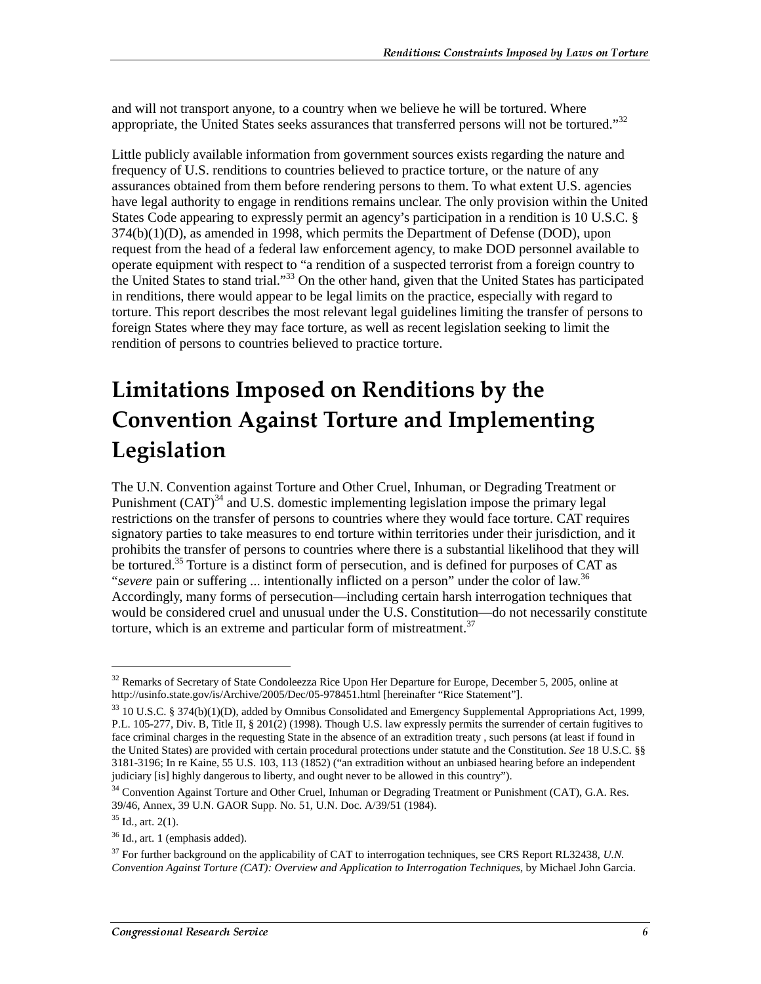and will not transport anyone, to a country when we believe he will be tortured. Where appropriate, the United States seeks assurances that transferred persons will not be tortured."<sup>32</sup>

Little publicly available information from government sources exists regarding the nature and frequency of U.S. renditions to countries believed to practice torture, or the nature of any assurances obtained from them before rendering persons to them. To what extent U.S. agencies have legal authority to engage in renditions remains unclear. The only provision within the United States Code appearing to expressly permit an agency's participation in a rendition is 10 U.S.C. §  $374(b)(1)(D)$ , as amended in 1998, which permits the Department of Defense (DOD), upon request from the head of a federal law enforcement agency, to make DOD personnel available to operate equipment with respect to "a rendition of a suspected terrorist from a foreign country to the United States to stand trial."33 On the other hand, given that the United States has participated in renditions, there would appear to be legal limits on the practice, especially with regard to torture. This report describes the most relevant legal guidelines limiting the transfer of persons to foreign States where they may face torture, as well as recent legislation seeking to limit the rendition of persons to countries believed to practice torture.

## **Limitations Imposed on Renditions by the Convention Against Torture and Implementing** Legislation

The U.N. Convention against Torture and Other Cruel, Inhuman, or Degrading Treatment or Punishment  $(CAT)^{34}$  and U.S. domestic implementing legislation impose the primary legal restrictions on the transfer of persons to countries where they would face torture. CAT requires signatory parties to take measures to end torture within territories under their jurisdiction, and it prohibits the transfer of persons to countries where there is a substantial likelihood that they will be tortured.<sup>35</sup> Torture is a distinct form of persecution, and is defined for purposes of CAT as "*severe* pain or suffering ... intentionally inflicted on a person" under the color of law.<sup>36</sup> Accordingly, many forms of persecution—including certain harsh interrogation techniques that would be considered cruel and unusual under the U.S. Constitution—do not necessarily constitute torture, which is an extreme and particular form of mistreatment.<sup>37</sup>

<sup>&</sup>lt;sup>32</sup> Remarks of Secretary of State Condoleezza Rice Upon Her Departure for Europe, December 5, 2005, online at http://usinfo.state.gov/is/Archive/2005/Dec/05-978451.html [hereinafter "Rice Statement"].

<sup>&</sup>lt;sup>33</sup> 10 U.S.C. § 374(b)(1)(D), added by Omnibus Consolidated and Emergency Supplemental Appropriations Act, 1999, P.L. 105-277, Div. B, Title II, § 201(2) (1998). Though U.S. law expressly permits the surrender of certain fugitives to face criminal charges in the requesting State in the absence of an extradition treaty , such persons (at least if found in the United States) are provided with certain procedural protections under statute and the Constitution. *See* 18 U.S.C. §§ 3181-3196; In re Kaine, 55 U.S. 103, 113 (1852) ("an extradition without an unbiased hearing before an independent judiciary [is] highly dangerous to liberty, and ought never to be allowed in this country").

<sup>&</sup>lt;sup>34</sup> Convention Against Torture and Other Cruel, Inhuman or Degrading Treatment or Punishment (CAT), G.A. Res. 39/46, Annex, 39 U.N. GAOR Supp. No. 51, U.N. Doc. A/39/51 (1984).

 $35$  Id., art. 2(1).

<sup>36</sup> Id., art. 1 (emphasis added).

<sup>37</sup> For further background on the applicability of CAT to interrogation techniques, see CRS Report RL32438, *U.N. Convention Against Torture (CAT): Overview and Application to Interrogation Techniques*, by Michael John Garcia.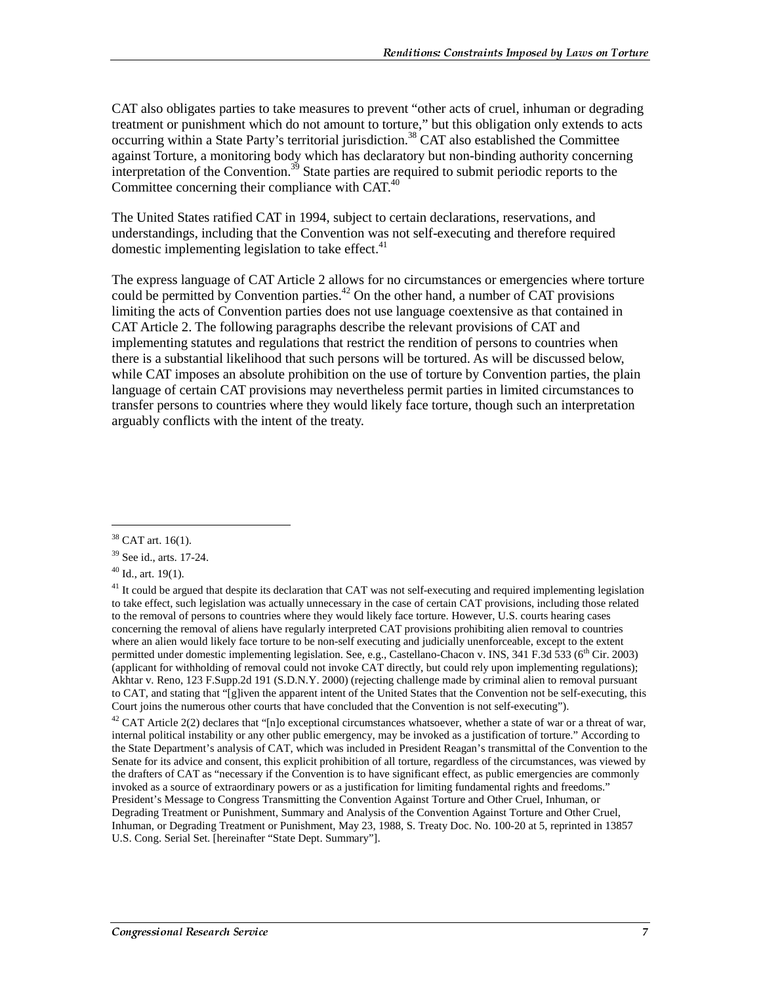CAT also obligates parties to take measures to prevent "other acts of cruel, inhuman or degrading treatment or punishment which do not amount to torture," but this obligation only extends to acts occurring within a State Party's territorial jurisdiction.<sup>38</sup> CAT also established the Committee against Torture, a monitoring body which has declaratory but non-binding authority concerning interpretation of the Convention.<sup>39</sup> State parties are required to submit periodic reports to the Committee concerning their compliance with CAT.<sup>40</sup>

The United States ratified CAT in 1994, subject to certain declarations, reservations, and understandings, including that the Convention was not self-executing and therefore required domestic implementing legislation to take effect. $41$ 

The express language of CAT Article 2 allows for no circumstances or emergencies where torture could be permitted by Convention parties.<sup>42</sup> On the other hand, a number of CAT provisions limiting the acts of Convention parties does not use language coextensive as that contained in CAT Article 2. The following paragraphs describe the relevant provisions of CAT and implementing statutes and regulations that restrict the rendition of persons to countries when there is a substantial likelihood that such persons will be tortured. As will be discussed below, while CAT imposes an absolute prohibition on the use of torture by Convention parties, the plain language of certain CAT provisions may nevertheless permit parties in limited circumstances to transfer persons to countries where they would likely face torture, though such an interpretation arguably conflicts with the intent of the treaty.

<sup>&</sup>lt;sup>38</sup> CAT art. 16(1).

<sup>39</sup> See id., arts. 17-24.

<sup>40</sup> Id., art. 19(1).

 $41$  It could be argued that despite its declaration that CAT was not self-executing and required implementing legislation to take effect, such legislation was actually unnecessary in the case of certain CAT provisions, including those related to the removal of persons to countries where they would likely face torture. However, U.S. courts hearing cases concerning the removal of aliens have regularly interpreted CAT provisions prohibiting alien removal to countries where an alien would likely face torture to be non-self executing and judicially unenforceable, except to the extent permitted under domestic implementing legislation. See, e.g., Castellano-Chacon v. INS, 341 F.3d 533 (6<sup>th</sup> Cir. 2003) (applicant for withholding of removal could not invoke CAT directly, but could rely upon implementing regulations); Akhtar v. Reno, 123 F.Supp.2d 191 (S.D.N.Y. 2000) (rejecting challenge made by criminal alien to removal pursuant to CAT, and stating that "[g]iven the apparent intent of the United States that the Convention not be self-executing, this Court joins the numerous other courts that have concluded that the Convention is not self-executing").

 $42$  CAT Article 2(2) declares that "[n]o exceptional circumstances whatsoever, whether a state of war or a threat of war, internal political instability or any other public emergency, may be invoked as a justification of torture." According to the State Department's analysis of CAT, which was included in President Reagan's transmittal of the Convention to the Senate for its advice and consent, this explicit prohibition of all torture, regardless of the circumstances, was viewed by the drafters of CAT as "necessary if the Convention is to have significant effect, as public emergencies are commonly invoked as a source of extraordinary powers or as a justification for limiting fundamental rights and freedoms." President's Message to Congress Transmitting the Convention Against Torture and Other Cruel, Inhuman, or Degrading Treatment or Punishment, Summary and Analysis of the Convention Against Torture and Other Cruel, Inhuman, or Degrading Treatment or Punishment, May 23, 1988, S. Treaty Doc. No. 100-20 at 5, reprinted in 13857 U.S. Cong. Serial Set. [hereinafter "State Dept. Summary"].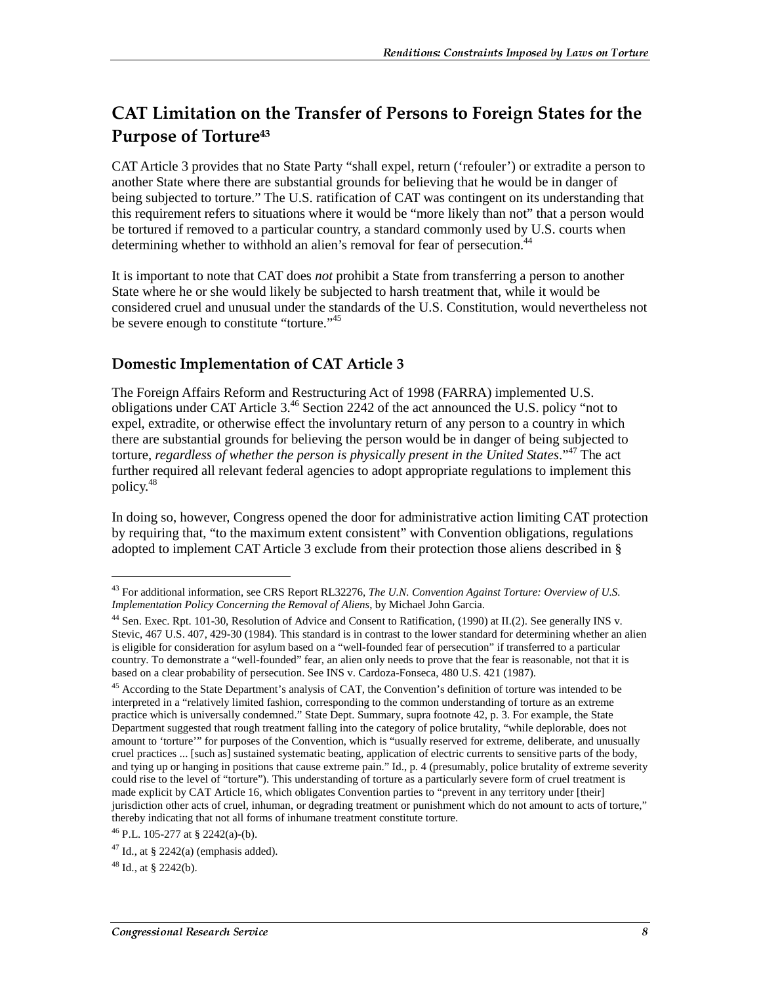### CAT Limitation on the Transfer of Persons to Foreign States for the Purpose of Torture $^{\rm 43}$

CAT Article 3 provides that no State Party "shall expel, return ('refouler') or extradite a person to another State where there are substantial grounds for believing that he would be in danger of being subjected to torture." The U.S. ratification of CAT was contingent on its understanding that this requirement refers to situations where it would be "more likely than not" that a person would be tortured if removed to a particular country, a standard commonly used by U.S. courts when determining whether to withhold an alien's removal for fear of persecution.<sup>44</sup>

It is important to note that CAT does *not* prohibit a State from transferring a person to another State where he or she would likely be subjected to harsh treatment that, while it would be considered cruel and unusual under the standards of the U.S. Constitution, would nevertheless not be severe enough to constitute "torture."<sup>45</sup>

#### **Domestic Implementation of CAT Article 3**

The Foreign Affairs Reform and Restructuring Act of 1998 (FARRA) implemented U.S. obligations under CAT Article 3.46 Section 2242 of the act announced the U.S. policy "not to expel, extradite, or otherwise effect the involuntary return of any person to a country in which there are substantial grounds for believing the person would be in danger of being subjected to torture, *regardless of whether the person is physically present in the United States*."47 The act further required all relevant federal agencies to adopt appropriate regulations to implement this policy.<sup>48</sup>

In doing so, however, Congress opened the door for administrative action limiting CAT protection by requiring that, "to the maximum extent consistent" with Convention obligations, regulations adopted to implement CAT Article 3 exclude from their protection those aliens described in §

<sup>43</sup> For additional information, see CRS Report RL32276, *The U.N. Convention Against Torture: Overview of U.S. Implementation Policy Concerning the Removal of Aliens*, by Michael John Garcia.

<sup>44</sup> Sen. Exec. Rpt. 101-30, Resolution of Advice and Consent to Ratification, (1990) at II.(2). See generally INS v. Stevic, 467 U.S. 407, 429-30 (1984). This standard is in contrast to the lower standard for determining whether an alien is eligible for consideration for asylum based on a "well-founded fear of persecution" if transferred to a particular country. To demonstrate a "well-founded" fear, an alien only needs to prove that the fear is reasonable, not that it is based on a clear probability of persecution. See INS v. Cardoza-Fonseca, 480 U.S. 421 (1987).

<sup>&</sup>lt;sup>45</sup> According to the State Department's analysis of CAT, the Convention's definition of torture was intended to be interpreted in a "relatively limited fashion, corresponding to the common understanding of torture as an extreme practice which is universally condemned." State Dept. Summary, supra footnote 42, p. 3. For example, the State Department suggested that rough treatment falling into the category of police brutality, "while deplorable, does not amount to 'torture'" for purposes of the Convention, which is "usually reserved for extreme, deliberate, and unusually cruel practices ... [such as] sustained systematic beating, application of electric currents to sensitive parts of the body, and tying up or hanging in positions that cause extreme pain." Id., p. 4 (presumably, police brutality of extreme severity could rise to the level of "torture"). This understanding of torture as a particularly severe form of cruel treatment is made explicit by CAT Article 16, which obligates Convention parties to "prevent in any territory under [their] jurisdiction other acts of cruel, inhuman, or degrading treatment or punishment which do not amount to acts of torture," thereby indicating that not all forms of inhumane treatment constitute torture.

<sup>46</sup> P.L. 105-277 at § 2242(a)-(b).

<sup>&</sup>lt;sup>47</sup> Id., at § 2242(a) (emphasis added).

 $48$  Id., at  $8$  2242(b).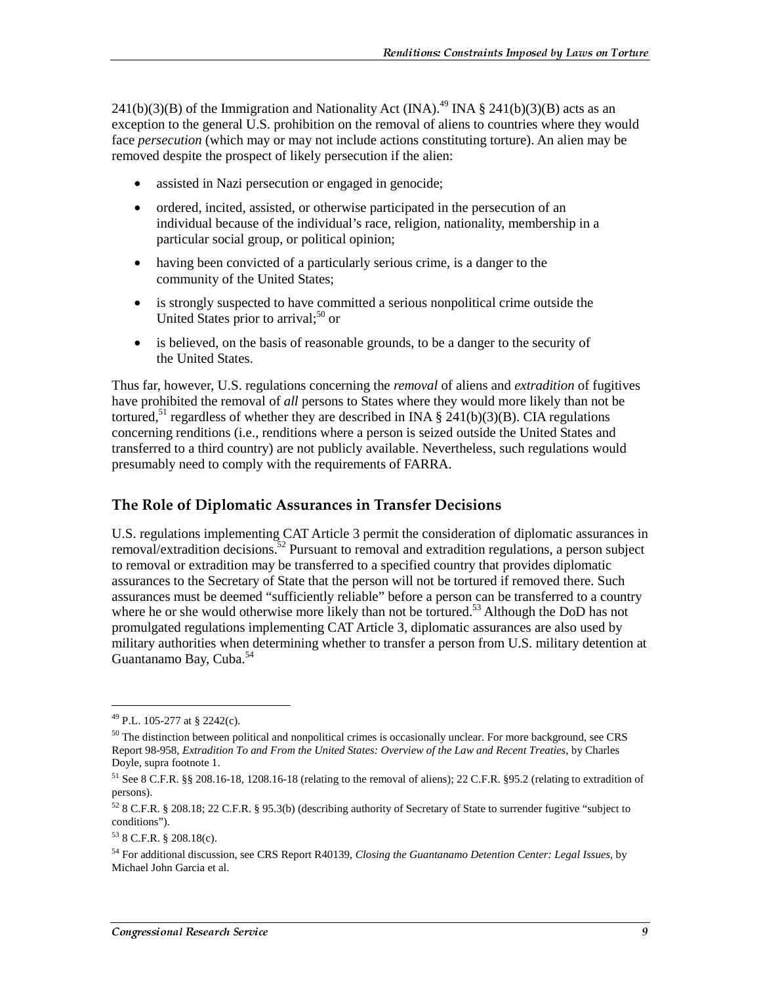241(b)(3)(B) of the Immigration and Nationality Act (INA).<sup>49</sup> INA § 241(b)(3)(B) acts as an exception to the general U.S. prohibition on the removal of aliens to countries where they would face *persecution* (which may or may not include actions constituting torture). An alien may be removed despite the prospect of likely persecution if the alien:

- assisted in Nazi persecution or engaged in genocide;
- ordered, incited, assisted, or otherwise participated in the persecution of an individual because of the individual's race, religion, nationality, membership in a particular social group, or political opinion;
- having been convicted of a particularly serious crime, is a danger to the community of the United States;
- is strongly suspected to have committed a serious nonpolitical crime outside the United States prior to arrival; $50$  or
- is believed, on the basis of reasonable grounds, to be a danger to the security of the United States.

Thus far, however, U.S. regulations concerning the *removal* of aliens and *extradition* of fugitives have prohibited the removal of *all* persons to States where they would more likely than not be tortured,<sup>51</sup> regardless of whether they are described in INA § 241(b)(3)(B). CIA regulations concerning renditions (i.e., renditions where a person is seized outside the United States and transferred to a third country) are not publicly available. Nevertheless, such regulations would presumably need to comply with the requirements of FARRA.

#### The Role of Diplomatic Assurances in Transfer Decisions

U.S. regulations implementing CAT Article 3 permit the consideration of diplomatic assurances in removal/extradition decisions.<sup>52</sup> Pursuant to removal and extradition regulations, a person subject to removal or extradition may be transferred to a specified country that provides diplomatic assurances to the Secretary of State that the person will not be tortured if removed there. Such assurances must be deemed "sufficiently reliable" before a person can be transferred to a country where he or she would otherwise more likely than not be tortured.<sup>53</sup> Although the DoD has not promulgated regulations implementing CAT Article 3, diplomatic assurances are also used by military authorities when determining whether to transfer a person from U.S. military detention at Guantanamo Bay, Cuba.<sup>54</sup>

<sup>49</sup> P.L. 105-277 at § 2242(c).

 $50$  The distinction between political and nonpolitical crimes is occasionally unclear. For more background, see CRS Report 98-958, *Extradition To and From the United States: Overview of the Law and Recent Treaties*, by Charles Doyle, supra footnote 1.

<sup>51</sup> See 8 C.F.R. §§ 208.16-18, 1208.16-18 (relating to the removal of aliens); 22 C.F.R. §95.2 (relating to extradition of persons).

 $52$  8 C.F.R. § 208.18; 22 C.F.R. § 95.3(b) (describing authority of Secretary of State to surrender fugitive "subject to conditions").

<sup>53 8</sup> C.F.R. § 208.18(c).

<sup>54</sup> For additional discussion, see CRS Report R40139, *Closing the Guantanamo Detention Center: Legal Issues*, by Michael John Garcia et al.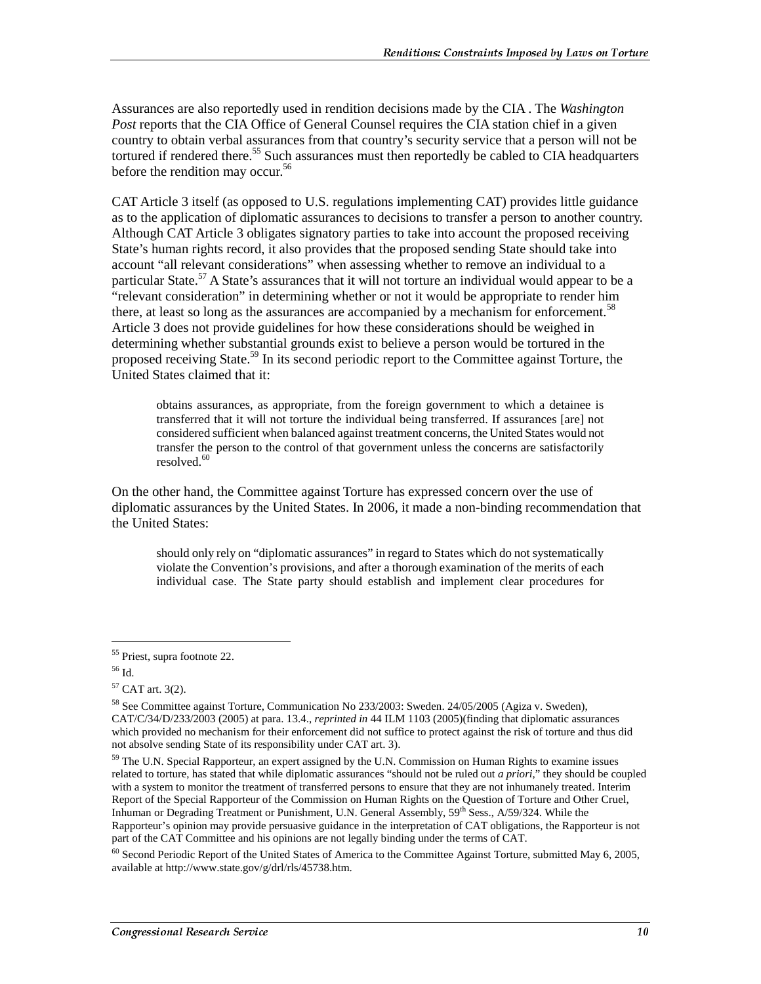Assurances are also reportedly used in rendition decisions made by the CIA . The *Washington Post* reports that the CIA Office of General Counsel requires the CIA station chief in a given country to obtain verbal assurances from that country's security service that a person will not be tortured if rendered there.<sup>55</sup> Such assurances must then reportedly be cabled to CIA headquarters before the rendition may occur.<sup>56</sup>

CAT Article 3 itself (as opposed to U.S. regulations implementing CAT) provides little guidance as to the application of diplomatic assurances to decisions to transfer a person to another country. Although CAT Article 3 obligates signatory parties to take into account the proposed receiving State's human rights record, it also provides that the proposed sending State should take into account "all relevant considerations" when assessing whether to remove an individual to a particular State.<sup>57</sup> A State's assurances that it will not torture an individual would appear to be a "relevant consideration" in determining whether or not it would be appropriate to render him there, at least so long as the assurances are accompanied by a mechanism for enforcement.<sup>58</sup> Article 3 does not provide guidelines for how these considerations should be weighed in determining whether substantial grounds exist to believe a person would be tortured in the proposed receiving State.<sup>59</sup> In its second periodic report to the Committee against Torture, the United States claimed that it:

obtains assurances, as appropriate, from the foreign government to which a detainee is transferred that it will not torture the individual being transferred. If assurances [are] not considered sufficient when balanced against treatment concerns, the United States would not transfer the person to the control of that government unless the concerns are satisfactorily resolved.<sup>60</sup>

On the other hand, the Committee against Torture has expressed concern over the use of diplomatic assurances by the United States. In 2006, it made a non-binding recommendation that the United States:

should only rely on "diplomatic assurances" in regard to States which do not systematically violate the Convention's provisions, and after a thorough examination of the merits of each individual case. The State party should establish and implement clear procedures for

<sup>55</sup> Priest, supra footnote 22.

<sup>56</sup> Id.

 $57$  CAT art. 3(2).

<sup>58</sup> See Committee against Torture, Communication No 233/2003: Sweden. 24/05/2005 (Agiza v. Sweden), CAT/C/34/D/233/2003 (2005) at para. 13.4., *reprinted in* 44 ILM 1103 (2005)(finding that diplomatic assurances which provided no mechanism for their enforcement did not suffice to protect against the risk of torture and thus did not absolve sending State of its responsibility under CAT art. 3).

<sup>&</sup>lt;sup>59</sup> The U.N. Special Rapporteur, an expert assigned by the U.N. Commission on Human Rights to examine issues related to torture, has stated that while diplomatic assurances "should not be ruled out *a priori*," they should be coupled with a system to monitor the treatment of transferred persons to ensure that they are not inhumanely treated. Interim Report of the Special Rapporteur of the Commission on Human Rights on the Question of Torture and Other Cruel, Inhuman or Degrading Treatment or Punishment, U.N. General Assembly, 59th Sess., A/59/324. While the Rapporteur's opinion may provide persuasive guidance in the interpretation of CAT obligations, the Rapporteur is not part of the CAT Committee and his opinions are not legally binding under the terms of CAT.

<sup>&</sup>lt;sup>60</sup> Second Periodic Report of the United States of America to the Committee Against Torture, submitted May 6, 2005, available at http://www.state.gov/g/drl/rls/45738.htm.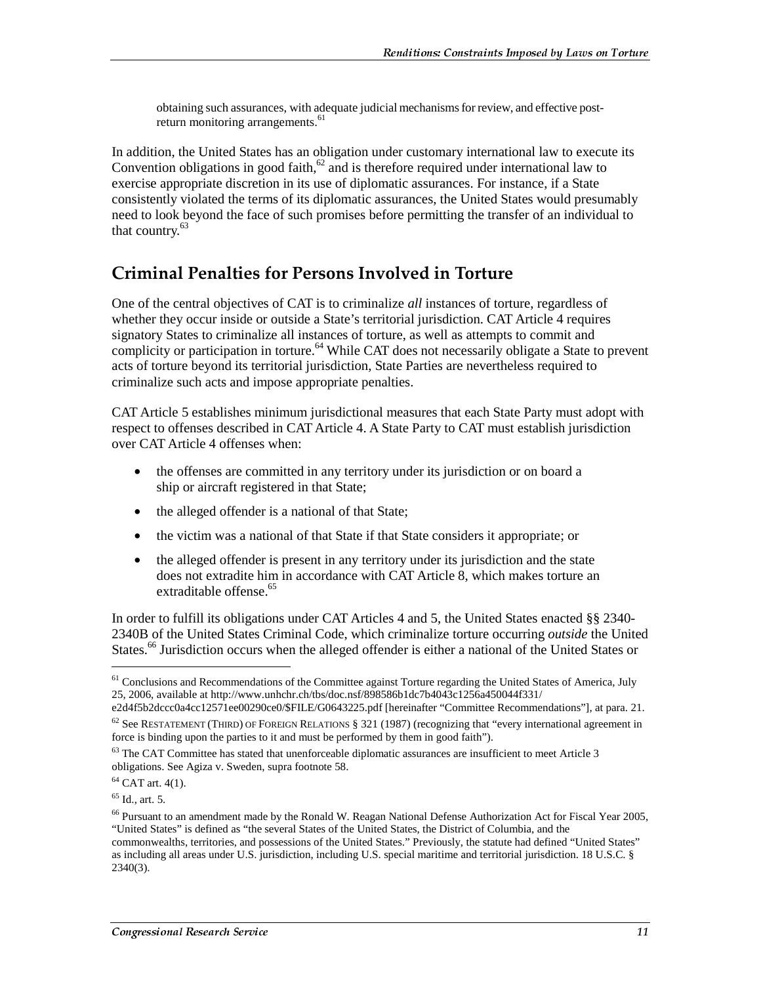obtaining such assurances, with adequate judicial mechanisms for review, and effective postreturn monitoring arrangements.<sup>61</sup>

In addition, the United States has an obligation under customary international law to execute its Convention obligations in good faith, $62$  and is therefore required under international law to exercise appropriate discretion in its use of diplomatic assurances. For instance, if a State consistently violated the terms of its diplomatic assurances, the United States would presumably need to look beyond the face of such promises before permitting the transfer of an individual to that country. $63$ 

#### **Criminal Penalties for Persons Involved in Torture**

One of the central objectives of CAT is to criminalize *all* instances of torture, regardless of whether they occur inside or outside a State's territorial jurisdiction. CAT Article 4 requires signatory States to criminalize all instances of torture, as well as attempts to commit and complicity or participation in torture.<sup>64</sup> While CAT does not necessarily obligate a State to prevent acts of torture beyond its territorial jurisdiction, State Parties are nevertheless required to criminalize such acts and impose appropriate penalties.

CAT Article 5 establishes minimum jurisdictional measures that each State Party must adopt with respect to offenses described in CAT Article 4. A State Party to CAT must establish jurisdiction over CAT Article 4 offenses when:

- the offenses are committed in any territory under its jurisdiction or on board a ship or aircraft registered in that State;
- the alleged offender is a national of that State;
- the victim was a national of that State if that State considers it appropriate; or
- the alleged offender is present in any territory under its jurisdiction and the state does not extradite him in accordance with CAT Article 8, which makes torture an extraditable offense.<sup>65</sup>

In order to fulfill its obligations under CAT Articles 4 and 5, the United States enacted §§ 2340- 2340B of the United States Criminal Code, which criminalize torture occurring *outside* the United States.<sup>66</sup> Jurisdiction occurs when the alleged offender is either a national of the United States or

 $64$  CAT art. 4(1).

 $65$  Id., art. 5.

 $<sup>61</sup>$  Conclusions and Recommendations of the Committee against Torture regarding the United States of America, July</sup> 25, 2006, available at http://www.unhchr.ch/tbs/doc.nsf/898586b1dc7b4043c1256a450044f331/

e2d4f5b2dccc0a4cc12571ee00290ce0/\$FILE/G0643225.pdf [hereinafter "Committee Recommendations"], at para. 21. <sup>62</sup> See RESTATEMENT (THIRD) OF FOREIGN RELATIONS § 321 (1987) (recognizing that "every international agreement in force is binding upon the parties to it and must be performed by them in good faith").

 $63$  The CAT Committee has stated that unenforceable diplomatic assurances are insufficient to meet Article 3 obligations. See Agiza v. Sweden, supra footnote 58.

<sup>66</sup> Pursuant to an amendment made by the Ronald W. Reagan National Defense Authorization Act for Fiscal Year 2005, "United States" is defined as "the several States of the United States, the District of Columbia, and the commonwealths, territories, and possessions of the United States." Previously, the statute had defined "United States" as including all areas under U.S. jurisdiction, including U.S. special maritime and territorial jurisdiction. 18 U.S.C. § 2340(3).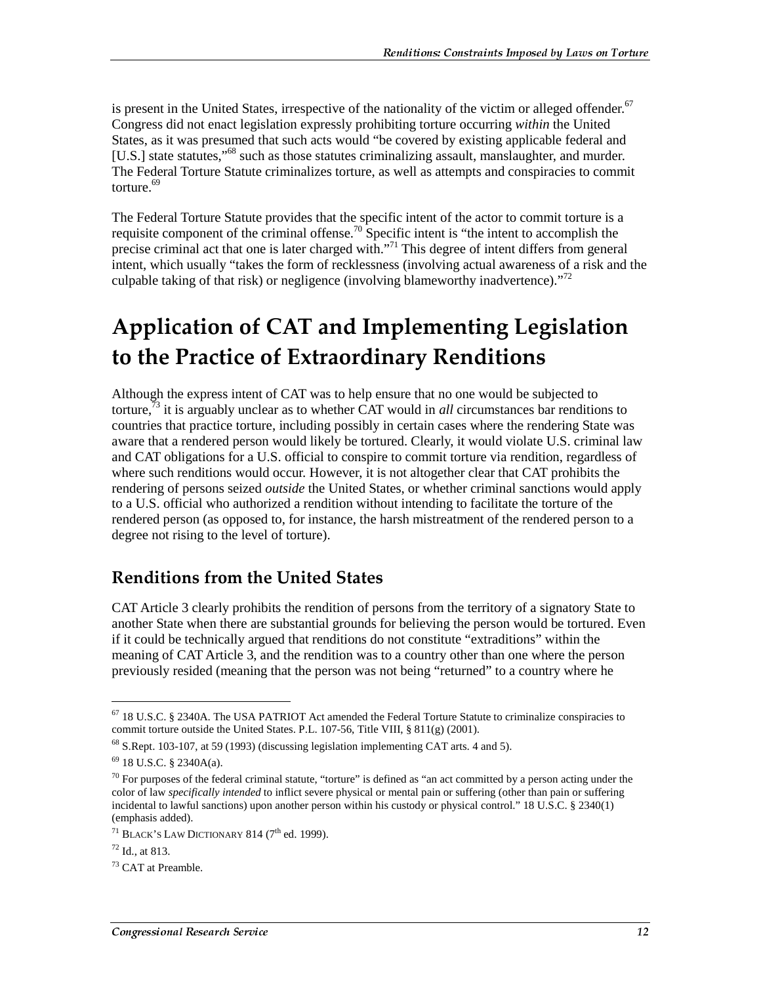is present in the United States, irrespective of the nationality of the victim or alleged offender.<sup>67</sup> Congress did not enact legislation expressly prohibiting torture occurring *within* the United States, as it was presumed that such acts would "be covered by existing applicable federal and [U.S.] state statutes,"<sup>68</sup> such as those statutes criminalizing assault, manslaughter, and murder. The Federal Torture Statute criminalizes torture, as well as attempts and conspiracies to commit torture.<sup>69</sup>

The Federal Torture Statute provides that the specific intent of the actor to commit torture is a requisite component of the criminal offense.<sup>70</sup> Specific intent is "the intent to accomplish the precise criminal act that one is later charged with."<sup>71</sup> This degree of intent differs from general intent, which usually "takes the form of recklessness (involving actual awareness of a risk and the culpable taking of that risk) or negligence (involving blameworthy inadvertence). $^{372}$ 

## **Application of CAT and Implementing Legislation** to the Practice of Extraordinary Renditions

Although the express intent of CAT was to help ensure that no one would be subjected to torture,73 it is arguably unclear as to whether CAT would in *all* circumstances bar renditions to countries that practice torture, including possibly in certain cases where the rendering State was aware that a rendered person would likely be tortured. Clearly, it would violate U.S. criminal law and CAT obligations for a U.S. official to conspire to commit torture via rendition, regardless of where such renditions would occur. However, it is not altogether clear that CAT prohibits the rendering of persons seized *outside* the United States, or whether criminal sanctions would apply to a U.S. official who authorized a rendition without intending to facilitate the torture of the rendered person (as opposed to, for instance, the harsh mistreatment of the rendered person to a degree not rising to the level of torture).

#### **Renditions from the United States**

CAT Article 3 clearly prohibits the rendition of persons from the territory of a signatory State to another State when there are substantial grounds for believing the person would be tortured. Even if it could be technically argued that renditions do not constitute "extraditions" within the meaning of CAT Article 3, and the rendition was to a country other than one where the person previously resided (meaning that the person was not being "returned" to a country where he

<sup>67 18</sup> U.S.C. § 2340A. The USA PATRIOT Act amended the Federal Torture Statute to criminalize conspiracies to commit torture outside the United States. P.L. 107-56, Title VIII, § 811(g) (2001).

<sup>68</sup> S.Rept. 103-107, at 59 (1993) (discussing legislation implementing CAT arts. 4 and 5).

<sup>69 18</sup> U.S.C. § 2340A(a).

 $70$  For purposes of the federal criminal statute, "torture" is defined as "an act committed by a person acting under the color of law *specifically intended* to inflict severe physical or mental pain or suffering (other than pain or suffering incidental to lawful sanctions) upon another person within his custody or physical control." 18 U.S.C. § 2340(1) (emphasis added).

<sup>&</sup>lt;sup>71</sup> BLACK'S LAW DICTIONARY 814 (7<sup>th</sup> ed. 1999).

 $72$  Id., at 813.

<sup>&</sup>lt;sup>73</sup> CAT at Preamble.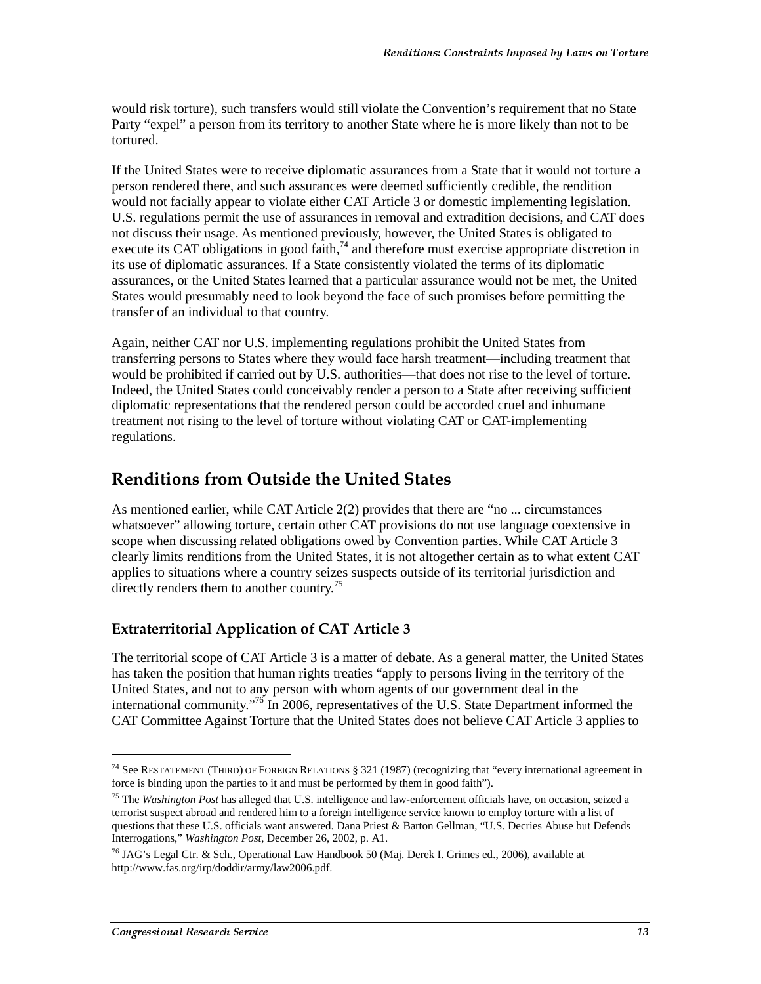would risk torture), such transfers would still violate the Convention's requirement that no State Party "expel" a person from its territory to another State where he is more likely than not to be tortured.

If the United States were to receive diplomatic assurances from a State that it would not torture a person rendered there, and such assurances were deemed sufficiently credible, the rendition would not facially appear to violate either CAT Article 3 or domestic implementing legislation. U.S. regulations permit the use of assurances in removal and extradition decisions, and CAT does not discuss their usage. As mentioned previously, however, the United States is obligated to execute its CAT obligations in good faith,<sup>74</sup> and therefore must exercise appropriate discretion in its use of diplomatic assurances. If a State consistently violated the terms of its diplomatic assurances, or the United States learned that a particular assurance would not be met, the United States would presumably need to look beyond the face of such promises before permitting the transfer of an individual to that country.

Again, neither CAT nor U.S. implementing regulations prohibit the United States from transferring persons to States where they would face harsh treatment—including treatment that would be prohibited if carried out by U.S. authorities—that does not rise to the level of torture. Indeed, the United States could conceivably render a person to a State after receiving sufficient diplomatic representations that the rendered person could be accorded cruel and inhumane treatment not rising to the level of torture without violating CAT or CAT-implementing regulations.

### **Renditions from Outside the United States**

As mentioned earlier, while CAT Article 2(2) provides that there are "no ... circumstances whatsoever" allowing torture, certain other CAT provisions do not use language coextensive in scope when discussing related obligations owed by Convention parties. While CAT Article 3 clearly limits renditions from the United States, it is not altogether certain as to what extent CAT applies to situations where a country seizes suspects outside of its territorial jurisdiction and directly renders them to another country.<sup>75</sup>

#### **Extraterritorial Application of CAT Article 3**

The territorial scope of CAT Article 3 is a matter of debate. As a general matter, the United States has taken the position that human rights treaties "apply to persons living in the territory of the United States, and not to any person with whom agents of our government deal in the international community.<sup> $76$ </sup> In 2006, representatives of the U.S. State Department informed the CAT Committee Against Torture that the United States does not believe CAT Article 3 applies to

<sup>74</sup> See RESTATEMENT (THIRD) OF FOREIGN RELATIONS § 321 (1987) (recognizing that "every international agreement in force is binding upon the parties to it and must be performed by them in good faith").

<sup>75</sup> The *Washington Post* has alleged that U.S. intelligence and law-enforcement officials have, on occasion, seized a terrorist suspect abroad and rendered him to a foreign intelligence service known to employ torture with a list of questions that these U.S. officials want answered. Dana Priest & Barton Gellman, "U.S. Decries Abuse but Defends Interrogations," *Washington Post*, December 26, 2002, p. A1.

<sup>&</sup>lt;sup>76</sup> JAG's Legal Ctr. & Sch., Operational Law Handbook 50 (Maj. Derek I. Grimes ed., 2006), available at http://www.fas.org/irp/doddir/army/law2006.pdf.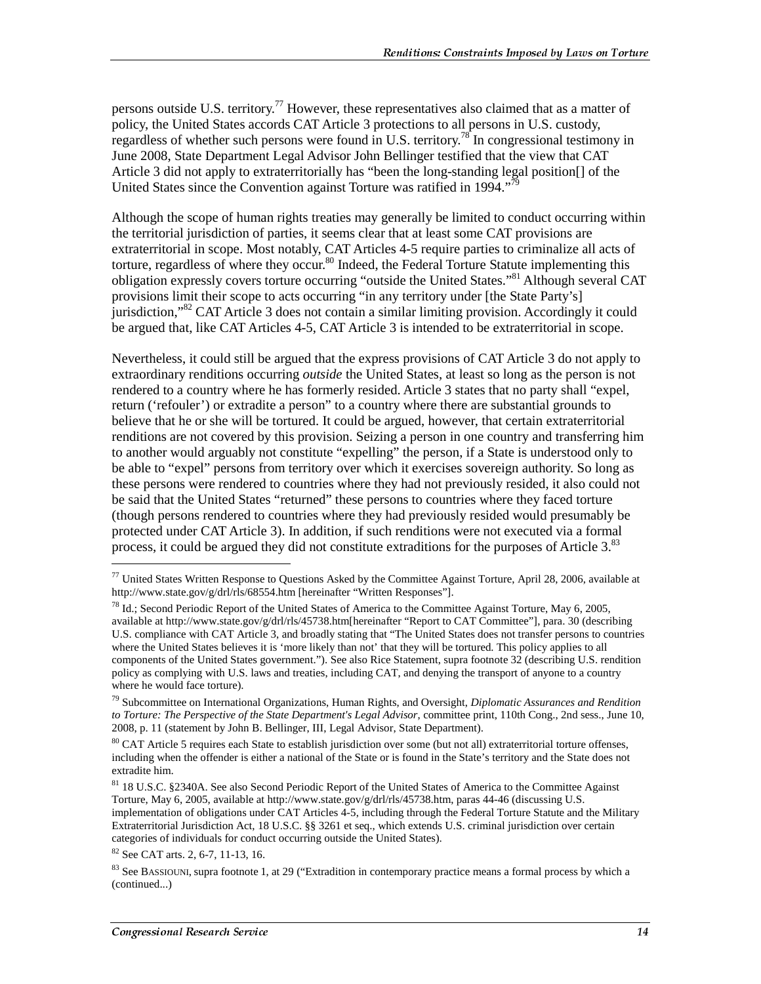persons outside U.S. territory.<sup>77</sup> However, these representatives also claimed that as a matter of policy, the United States accords CAT Article 3 protections to all persons in U.S. custody, regardless of whether such persons were found in U.S. territory.<sup>78</sup> In congressional testimony in June 2008, State Department Legal Advisor John Bellinger testified that the view that CAT Article 3 did not apply to extraterritorially has "been the long-standing legal position[] of the United States since the Convention against Torture was ratified in 1994."<sup>79</sup>

Although the scope of human rights treaties may generally be limited to conduct occurring within the territorial jurisdiction of parties, it seems clear that at least some CAT provisions are extraterritorial in scope. Most notably, CAT Articles 4-5 require parties to criminalize all acts of torture, regardless of where they occur.<sup>80</sup> Indeed, the Federal Torture Statute implementing this obligation expressly covers torture occurring "outside the United States."81 Although several CAT provisions limit their scope to acts occurring "in any territory under [the State Party's] jurisdiction,"82 CAT Article 3 does not contain a similar limiting provision. Accordingly it could be argued that, like CAT Articles 4-5, CAT Article 3 is intended to be extraterritorial in scope.

Nevertheless, it could still be argued that the express provisions of CAT Article 3 do not apply to extraordinary renditions occurring *outside* the United States, at least so long as the person is not rendered to a country where he has formerly resided. Article 3 states that no party shall "expel, return ('refouler') or extradite a person" to a country where there are substantial grounds to believe that he or she will be tortured. It could be argued, however, that certain extraterritorial renditions are not covered by this provision. Seizing a person in one country and transferring him to another would arguably not constitute "expelling" the person, if a State is understood only to be able to "expel" persons from territory over which it exercises sovereign authority. So long as these persons were rendered to countries where they had not previously resided, it also could not be said that the United States "returned" these persons to countries where they faced torture (though persons rendered to countries where they had previously resided would presumably be protected under CAT Article 3). In addition, if such renditions were not executed via a formal process, it could be argued they did not constitute extraditions for the purposes of Article  $3$ <sup>83</sup>

82 See CAT arts. 2, 6-7, 11-13, 16.

 $^{77}$  United States Written Response to Questions Asked by the Committee Against Torture, April 28, 2006, available at http://www.state.gov/g/drl/rls/68554.htm [hereinafter "Written Responses"].

<sup>&</sup>lt;sup>78</sup> Id.; Second Periodic Report of the United States of America to the Committee Against Torture, May 6, 2005, available at http://www.state.gov/g/drl/rls/45738.htm[hereinafter "Report to CAT Committee"], para. 30 (describing U.S. compliance with CAT Article 3, and broadly stating that "The United States does not transfer persons to countries where the United States believes it is 'more likely than not' that they will be tortured. This policy applies to all components of the United States government."). See also Rice Statement, supra footnote 32 (describing U.S. rendition policy as complying with U.S. laws and treaties, including CAT, and denying the transport of anyone to a country where he would face torture).

<sup>79</sup> Subcommittee on International Organizations, Human Rights, and Oversight, *Diplomatic Assurances and Rendition to Torture: The Perspective of the State Department's Legal Advisor*, committee print, 110th Cong., 2nd sess., June 10, 2008, p. 11 (statement by John B. Bellinger, III, Legal Advisor, State Department).

<sup>&</sup>lt;sup>80</sup> CAT Article 5 requires each State to establish jurisdiction over some (but not all) extraterritorial torture offenses, including when the offender is either a national of the State or is found in the State's territory and the State does not extradite him.

<sup>81 18</sup> U.S.C. §2340A. See also Second Periodic Report of the United States of America to the Committee Against Torture, May 6, 2005, available at http://www.state.gov/g/drl/rls/45738.htm, paras 44-46 (discussing U.S. implementation of obligations under CAT Articles 4-5, including through the Federal Torture Statute and the Military Extraterritorial Jurisdiction Act, 18 U.S.C. §§ 3261 et seq., which extends U.S. criminal jurisdiction over certain categories of individuals for conduct occurring outside the United States).

 $83$  See BASSIOUNI, supra footnote 1, at 29 ("Extradition in contemporary practice means a formal process by which a (continued...)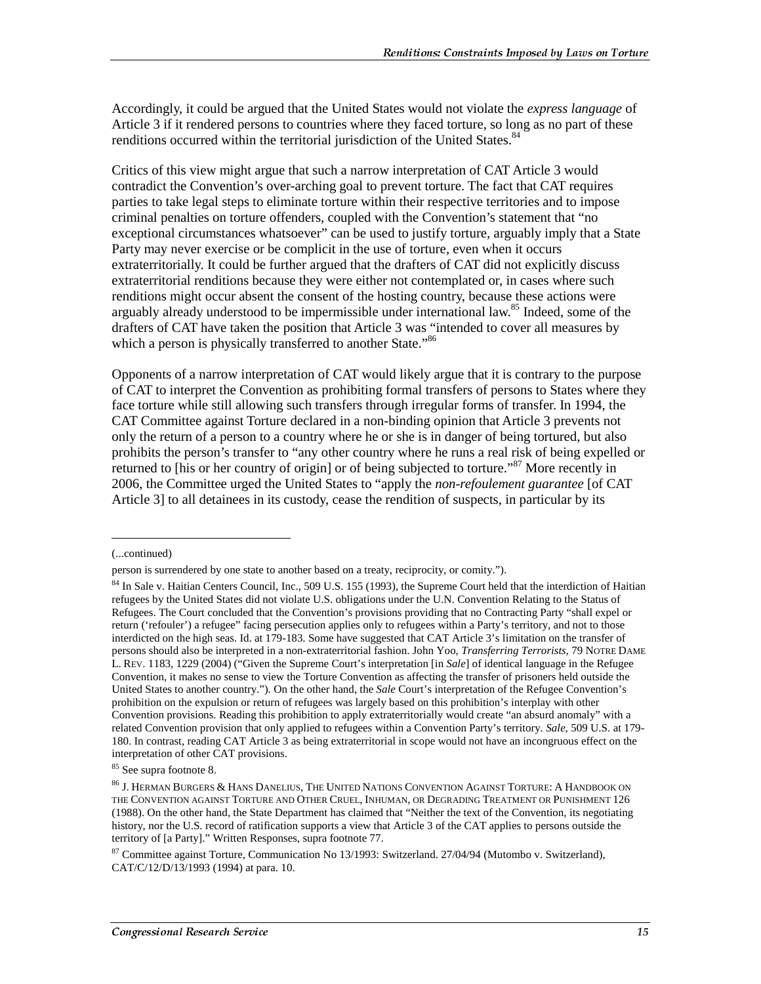Accordingly, it could be argued that the United States would not violate the *express language* of Article 3 if it rendered persons to countries where they faced torture, so long as no part of these renditions occurred within the territorial jurisdiction of the United States.<sup>84</sup>

Critics of this view might argue that such a narrow interpretation of CAT Article 3 would contradict the Convention's over-arching goal to prevent torture. The fact that CAT requires parties to take legal steps to eliminate torture within their respective territories and to impose criminal penalties on torture offenders, coupled with the Convention's statement that "no exceptional circumstances whatsoever" can be used to justify torture, arguably imply that a State Party may never exercise or be complicit in the use of torture, even when it occurs extraterritorially. It could be further argued that the drafters of CAT did not explicitly discuss extraterritorial renditions because they were either not contemplated or, in cases where such renditions might occur absent the consent of the hosting country, because these actions were arguably already understood to be impermissible under international law.<sup>85</sup> Indeed, some of the drafters of CAT have taken the position that Article 3 was "intended to cover all measures by which a person is physically transferred to another State."<sup>86</sup>

Opponents of a narrow interpretation of CAT would likely argue that it is contrary to the purpose of CAT to interpret the Convention as prohibiting formal transfers of persons to States where they face torture while still allowing such transfers through irregular forms of transfer. In 1994, the CAT Committee against Torture declared in a non-binding opinion that Article 3 prevents not only the return of a person to a country where he or she is in danger of being tortured, but also prohibits the person's transfer to "any other country where he runs a real risk of being expelled or returned to [his or her country of origin] or of being subjected to torture.<sup>87</sup> More recently in 2006, the Committee urged the United States to "apply the *non-refoulement guarantee* [of CAT Article 3] to all detainees in its custody, cease the rendition of suspects, in particular by its

<sup>(...</sup>continued)

person is surrendered by one state to another based on a treaty, reciprocity, or comity.").

<sup>84</sup> In Sale v. Haitian Centers Council, Inc., 509 U.S. 155 (1993), the Supreme Court held that the interdiction of Haitian refugees by the United States did not violate U.S. obligations under the U.N. Convention Relating to the Status of Refugees. The Court concluded that the Convention's provisions providing that no Contracting Party "shall expel or return ('refouler') a refugee" facing persecution applies only to refugees within a Party's territory, and not to those interdicted on the high seas. Id. at 179-183. Some have suggested that CAT Article 3's limitation on the transfer of persons should also be interpreted in a non-extraterritorial fashion. John Yoo, *Transferring Terrorists*, 79 NOTRE DAME L. REV. 1183, 1229 (2004) ("Given the Supreme Court's interpretation [in *Sale*] of identical language in the Refugee Convention, it makes no sense to view the Torture Convention as affecting the transfer of prisoners held outside the United States to another country."). On the other hand, the *Sale* Court's interpretation of the Refugee Convention's prohibition on the expulsion or return of refugees was largely based on this prohibition's interplay with other Convention provisions. Reading this prohibition to apply extraterritorially would create "an absurd anomaly" with a related Convention provision that only applied to refugees within a Convention Party's territory. *Sale*, 509 U.S. at 179- 180. In contrast, reading CAT Article 3 as being extraterritorial in scope would not have an incongruous effect on the interpretation of other CAT provisions.

<sup>85</sup> See supra footnote 8.

 $^{86}$  J. Herman Burgers & Hans Danelius, The United Nations Convention Against Torture: A Handbook on THE CONVENTION AGAINST TORTURE AND OTHER CRUEL, INHUMAN, OR DEGRADING TREATMENT OR PUNISHMENT 126 (1988). On the other hand, the State Department has claimed that "Neither the text of the Convention, its negotiating history, nor the U.S. record of ratification supports a view that Article 3 of the CAT applies to persons outside the territory of [a Party]." Written Responses, supra footnote 77.

 $87$  Committee against Torture, Communication No 13/1993: Switzerland. 27/04/94 (Mutombo v. Switzerland), CAT/C/12/D/13/1993 (1994) at para. 10.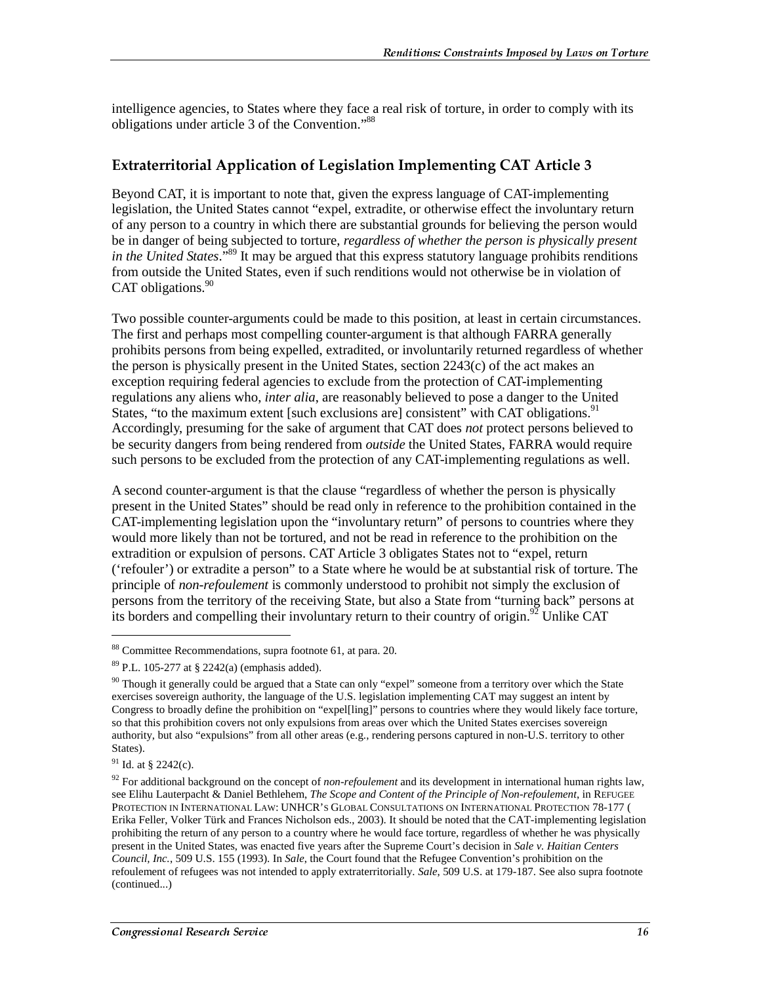intelligence agencies, to States where they face a real risk of torture, in order to comply with its obligations under article 3 of the Convention."88

#### Extraterritorial Application of Legislation Implementing CAT Article 3

Beyond CAT, it is important to note that, given the express language of CAT-implementing legislation, the United States cannot "expel, extradite, or otherwise effect the involuntary return of any person to a country in which there are substantial grounds for believing the person would be in danger of being subjected to torture, *regardless of whether the person is physically present in the United States*."89 It may be argued that this express statutory language prohibits renditions from outside the United States, even if such renditions would not otherwise be in violation of CAT obligations. $90$ 

Two possible counter-arguments could be made to this position, at least in certain circumstances. The first and perhaps most compelling counter-argument is that although FARRA generally prohibits persons from being expelled, extradited, or involuntarily returned regardless of whether the person is physically present in the United States, section  $2243(c)$  of the act makes an exception requiring federal agencies to exclude from the protection of CAT-implementing regulations any aliens who, *inter alia*, are reasonably believed to pose a danger to the United States, "to the maximum extent [such exclusions are] consistent" with CAT obligations.<sup>91</sup> Accordingly, presuming for the sake of argument that CAT does *not* protect persons believed to be security dangers from being rendered from *outside* the United States, FARRA would require such persons to be excluded from the protection of any CAT-implementing regulations as well.

A second counter-argument is that the clause "regardless of whether the person is physically present in the United States" should be read only in reference to the prohibition contained in the CAT-implementing legislation upon the "involuntary return" of persons to countries where they would more likely than not be tortured, and not be read in reference to the prohibition on the extradition or expulsion of persons. CAT Article 3 obligates States not to "expel, return ('refouler') or extradite a person" to a State where he would be at substantial risk of torture. The principle of *non-refoulement* is commonly understood to prohibit not simply the exclusion of persons from the territory of the receiving State, but also a State from "turning back" persons at its borders and compelling their involuntary return to their country of origin.<sup>92</sup> Unlike CAT

91 Id. at § 2242(c).

<sup>88</sup> Committee Recommendations, supra footnote 61, at para. 20.

 $89$  P.L. 105-277 at § 2242(a) (emphasis added).

 $90$  Though it generally could be argued that a State can only "expel" someone from a territory over which the State exercises sovereign authority, the language of the U.S. legislation implementing CAT may suggest an intent by Congress to broadly define the prohibition on "expel[ling]" persons to countries where they would likely face torture, so that this prohibition covers not only expulsions from areas over which the United States exercises sovereign authority, but also "expulsions" from all other areas (e.g., rendering persons captured in non-U.S. territory to other States).

<sup>&</sup>lt;sup>92</sup> For additional background on the concept of *non-refoulement* and its development in international human rights law, see Elihu Lauterpacht & Daniel Bethlehem, *The Scope and Content of the Principle of Non-refoulement*, in REFUGEE PROTECTION IN INTERNATIONAL LAW: UNHCR'S GLOBAL CONSULTATIONS ON INTERNATIONAL PROTECTION 78-177 ( Erika Feller, Volker Türk and Frances Nicholson eds., 2003). It should be noted that the CAT-implementing legislation prohibiting the return of any person to a country where he would face torture, regardless of whether he was physically present in the United States, was enacted five years after the Supreme Court's decision in *Sale v. Haitian Centers Council, Inc.*, 509 U.S. 155 (1993). In *Sale*, the Court found that the Refugee Convention's prohibition on the refoulement of refugees was not intended to apply extraterritorially. *Sale*, 509 U.S. at 179-187. See also supra footnote (continued...)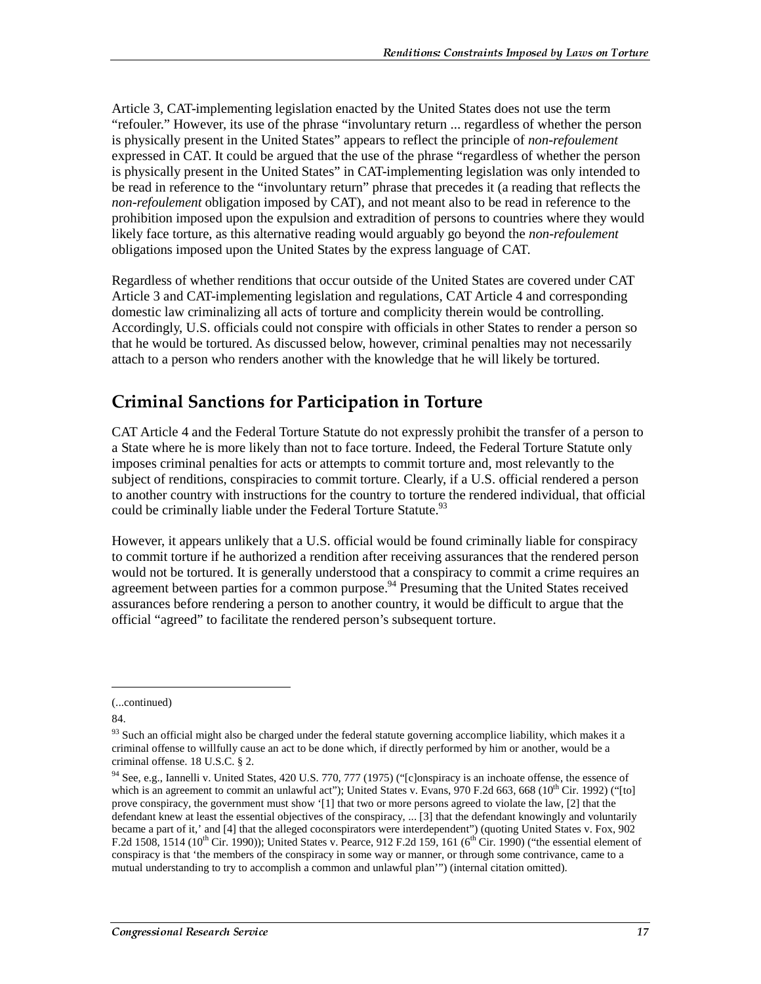Article 3, CAT-implementing legislation enacted by the United States does not use the term "refouler." However, its use of the phrase "involuntary return ... regardless of whether the person is physically present in the United States" appears to reflect the principle of *non-refoulement* expressed in CAT. It could be argued that the use of the phrase "regardless of whether the person is physically present in the United States" in CAT-implementing legislation was only intended to be read in reference to the "involuntary return" phrase that precedes it (a reading that reflects the *non-refoulement* obligation imposed by CAT), and not meant also to be read in reference to the prohibition imposed upon the expulsion and extradition of persons to countries where they would likely face torture, as this alternative reading would arguably go beyond the *non-refoulement* obligations imposed upon the United States by the express language of CAT.

Regardless of whether renditions that occur outside of the United States are covered under CAT Article 3 and CAT-implementing legislation and regulations, CAT Article 4 and corresponding domestic law criminalizing all acts of torture and complicity therein would be controlling. Accordingly, U.S. officials could not conspire with officials in other States to render a person so that he would be tortured. As discussed below, however, criminal penalties may not necessarily attach to a person who renders another with the knowledge that he will likely be tortured.

### **Criminal Sanctions for Participation in Torture**

CAT Article 4 and the Federal Torture Statute do not expressly prohibit the transfer of a person to a State where he is more likely than not to face torture. Indeed, the Federal Torture Statute only imposes criminal penalties for acts or attempts to commit torture and, most relevantly to the subject of renditions, conspiracies to commit torture. Clearly, if a U.S. official rendered a person to another country with instructions for the country to torture the rendered individual, that official could be criminally liable under the Federal Torture Statute.<sup>93</sup>

However, it appears unlikely that a U.S. official would be found criminally liable for conspiracy to commit torture if he authorized a rendition after receiving assurances that the rendered person would not be tortured. It is generally understood that a conspiracy to commit a crime requires an agreement between parties for a common purpose.<sup>94</sup> Presuming that the United States received assurances before rendering a person to another country, it would be difficult to argue that the official "agreed" to facilitate the rendered person's subsequent torture.

<sup>(...</sup>continued)

<sup>84.</sup> 

<sup>&</sup>lt;sup>93</sup> Such an official might also be charged under the federal statute governing accomplice liability, which makes it a criminal offense to willfully cause an act to be done which, if directly performed by him or another, would be a criminal offense. 18 U.S.C. § 2.

<sup>&</sup>lt;sup>94</sup> See, e.g., Iannelli v. United States, 420 U.S. 770, 777 (1975) ("[c]onspiracy is an inchoate offense, the essence of which is an agreement to commit an unlawful act"); United States v. Evans, 970 F.2d 663, 668 ( $10^{th}$  Cir. 1992) ("[to] prove conspiracy, the government must show '[1] that two or more persons agreed to violate the law, [2] that the defendant knew at least the essential objectives of the conspiracy, ... [3] that the defendant knowingly and voluntarily became a part of it,' and [4] that the alleged coconspirators were interdependent") (quoting United States v. Fox, 902 F.2d 1508, 1514 (10<sup>th</sup> Cir. 1990)); United States v. Pearce, 912 F.2d 159, 161 (6<sup>th</sup> Cir. 1990) ("the essential element of conspiracy is that 'the members of the conspiracy in some way or manner, or through some contrivance, came to a mutual understanding to try to accomplish a common and unlawful plan'") (internal citation omitted).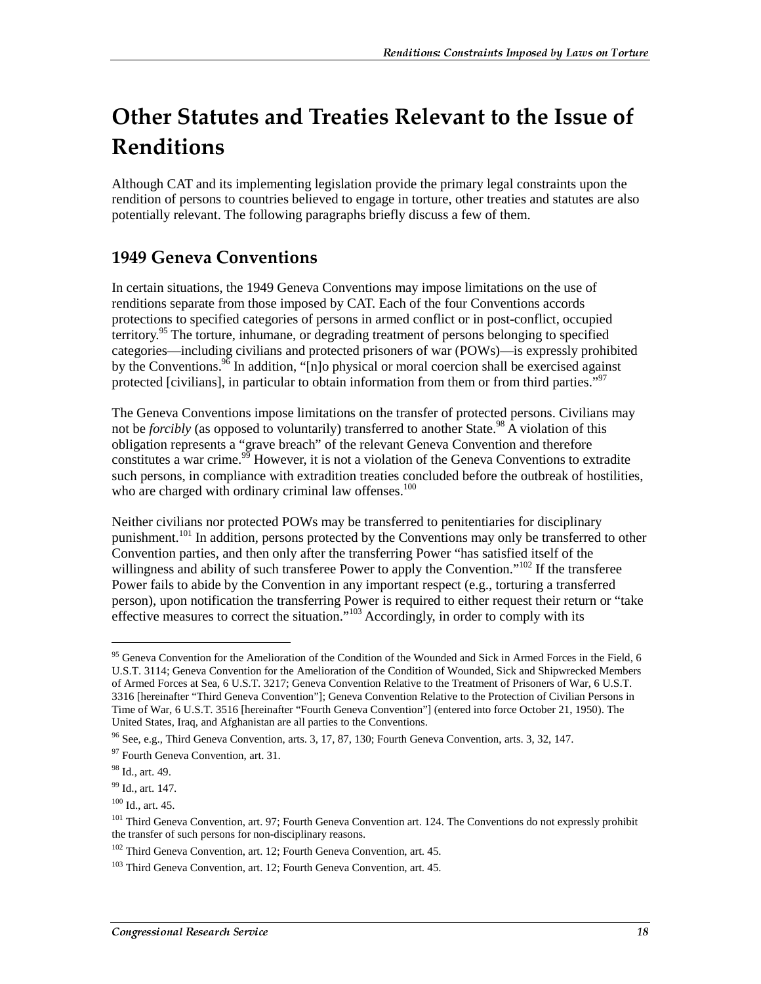## Other Statutes and Treaties Relevant to the Issue of Renditions

Although CAT and its implementing legislation provide the primary legal constraints upon the rendition of persons to countries believed to engage in torture, other treaties and statutes are also potentially relevant. The following paragraphs briefly discuss a few of them.

### **1949 Geneva Conventions**

In certain situations, the 1949 Geneva Conventions may impose limitations on the use of renditions separate from those imposed by CAT. Each of the four Conventions accords protections to specified categories of persons in armed conflict or in post-conflict, occupied territory.<sup>95</sup> The torture, inhumane, or degrading treatment of persons belonging to specified categories—including civilians and protected prisoners of war (POWs)—is expressly prohibited by the Conventions.<sup>96</sup> In addition, " $[n]$ o physical or moral coercion shall be exercised against protected [civilians], in particular to obtain information from them or from third parties."<sup>97</sup>

The Geneva Conventions impose limitations on the transfer of protected persons. Civilians may not be *forcibly* (as opposed to voluntarily) transferred to another State.<sup>98</sup> A violation of this obligation represents a "grave breach" of the relevant Geneva Convention and therefore constitutes a war crime.<sup>99</sup> However, it is not a violation of the Geneva Conventions to extradite such persons, in compliance with extradition treaties concluded before the outbreak of hostilities, who are charged with ordinary criminal law offenses.<sup>100</sup>

Neither civilians nor protected POWs may be transferred to penitentiaries for disciplinary punishment.<sup>101</sup> In addition, persons protected by the Conventions may only be transferred to other Convention parties, and then only after the transferring Power "has satisfied itself of the willingness and ability of such transferee Power to apply the Convention."<sup>102</sup> If the transferee Power fails to abide by the Convention in any important respect (e.g., torturing a transferred person), upon notification the transferring Power is required to either request their return or "take effective measures to correct the situation."<sup>103</sup> Accordingly, in order to comply with its

<sup>&</sup>lt;sup>95</sup> Geneva Convention for the Amelioration of the Condition of the Wounded and Sick in Armed Forces in the Field, 6 U.S.T. 3114; Geneva Convention for the Amelioration of the Condition of Wounded, Sick and Shipwrecked Members of Armed Forces at Sea, 6 U.S.T. 3217; Geneva Convention Relative to the Treatment of Prisoners of War, 6 U.S.T. 3316 [hereinafter "Third Geneva Convention"]; Geneva Convention Relative to the Protection of Civilian Persons in Time of War, 6 U.S.T. 3516 [hereinafter "Fourth Geneva Convention"] (entered into force October 21, 1950). The United States, Iraq, and Afghanistan are all parties to the Conventions.

 $96$  See, e.g., Third Geneva Convention, arts. 3, 17, 87, 130; Fourth Geneva Convention, arts. 3, 32, 147.

<sup>97</sup> Fourth Geneva Convention, art. 31.

<sup>98</sup> Id., art. 49.

<sup>&</sup>lt;sup>99</sup> Id., art. 147.

 $100$  Id., art. 45.

<sup>&</sup>lt;sup>101</sup> Third Geneva Convention, art. 97; Fourth Geneva Convention art. 124. The Conventions do not expressly prohibit the transfer of such persons for non-disciplinary reasons.

 $102$  Third Geneva Convention, art. 12; Fourth Geneva Convention, art. 45.

<sup>&</sup>lt;sup>103</sup> Third Geneva Convention, art. 12; Fourth Geneva Convention, art. 45.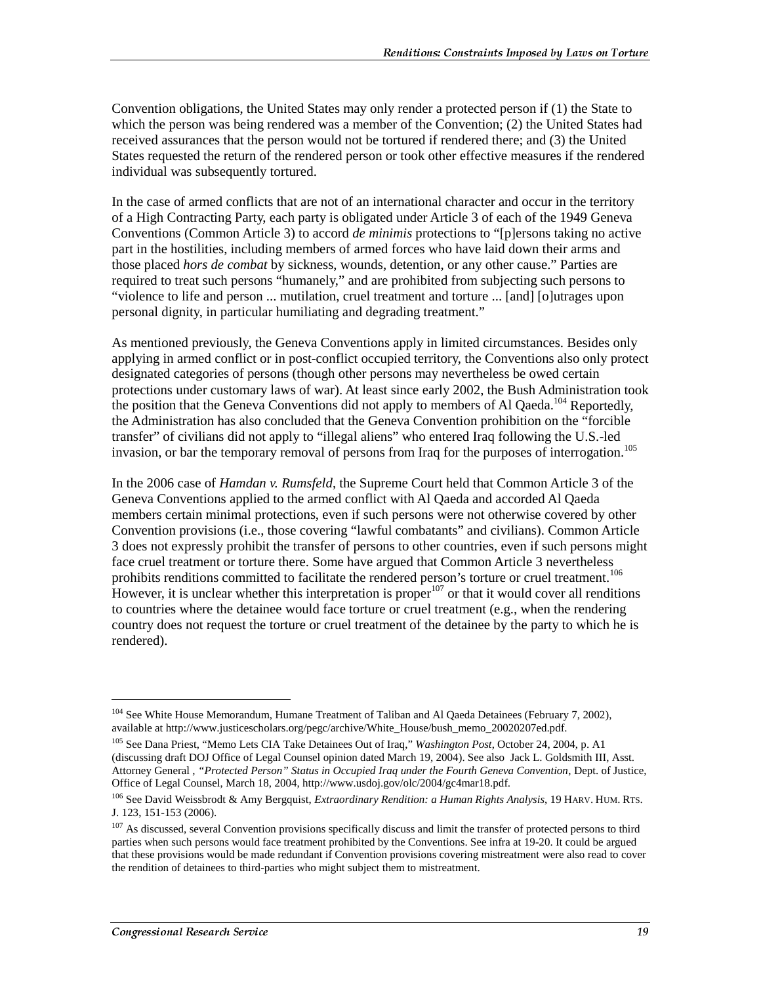Convention obligations, the United States may only render a protected person if (1) the State to which the person was being rendered was a member of the Convention; (2) the United States had received assurances that the person would not be tortured if rendered there; and (3) the United States requested the return of the rendered person or took other effective measures if the rendered individual was subsequently tortured.

In the case of armed conflicts that are not of an international character and occur in the territory of a High Contracting Party, each party is obligated under Article 3 of each of the 1949 Geneva Conventions (Common Article 3) to accord *de minimis* protections to "[p]ersons taking no active part in the hostilities, including members of armed forces who have laid down their arms and those placed *hors de combat* by sickness, wounds, detention, or any other cause." Parties are required to treat such persons "humanely," and are prohibited from subjecting such persons to "violence to life and person ... mutilation, cruel treatment and torture ... [and] [o]utrages upon personal dignity, in particular humiliating and degrading treatment."

As mentioned previously, the Geneva Conventions apply in limited circumstances. Besides only applying in armed conflict or in post-conflict occupied territory, the Conventions also only protect designated categories of persons (though other persons may nevertheless be owed certain protections under customary laws of war). At least since early 2002, the Bush Administration took the position that the Geneva Conventions did not apply to members of Al Qaeda.<sup>104</sup> Reportedly, the Administration has also concluded that the Geneva Convention prohibition on the "forcible transfer" of civilians did not apply to "illegal aliens" who entered Iraq following the U.S.-led invasion, or bar the temporary removal of persons from Iraq for the purposes of interrogation.<sup>105</sup>

In the 2006 case of *Hamdan v. Rumsfeld*, the Supreme Court held that Common Article 3 of the Geneva Conventions applied to the armed conflict with Al Qaeda and accorded Al Qaeda members certain minimal protections, even if such persons were not otherwise covered by other Convention provisions (i.e., those covering "lawful combatants" and civilians). Common Article 3 does not expressly prohibit the transfer of persons to other countries, even if such persons might face cruel treatment or torture there. Some have argued that Common Article 3 nevertheless prohibits renditions committed to facilitate the rendered person's torture or cruel treatment.<sup>106</sup> However, it is unclear whether this interpretation is proper  $107$  or that it would cover all renditions to countries where the detainee would face torture or cruel treatment (e.g., when the rendering country does not request the torture or cruel treatment of the detainee by the party to which he is rendered).

<sup>&</sup>lt;sup>104</sup> See White House Memorandum, Humane Treatment of Taliban and Al Qaeda Detainees (February 7, 2002), available at http://www.justicescholars.org/pegc/archive/White\_House/bush\_memo\_20020207ed.pdf.

<sup>105</sup> See Dana Priest, "Memo Lets CIA Take Detainees Out of Iraq," *Washington Post*, October 24, 2004, p. A1 (discussing draft DOJ Office of Legal Counsel opinion dated March 19, 2004). See also Jack L. Goldsmith III, Asst. Attorney General , *"Protected Person" Status in Occupied Iraq under the Fourth Geneva Convention*, Dept. of Justice, Office of Legal Counsel, March 18, 2004, http://www.usdoj.gov/olc/2004/gc4mar18.pdf.

<sup>106</sup> See David Weissbrodt & Amy Bergquist, *Extraordinary Rendition: a Human Rights Analysis*, 19 HARV. HUM. RTS. J. 123, 151-153 (2006).

<sup>&</sup>lt;sup>107</sup> As discussed, several Convention provisions specifically discuss and limit the transfer of protected persons to third parties when such persons would face treatment prohibited by the Conventions. See infra at 19-20. It could be argued that these provisions would be made redundant if Convention provisions covering mistreatment were also read to cover the rendition of detainees to third-parties who might subject them to mistreatment.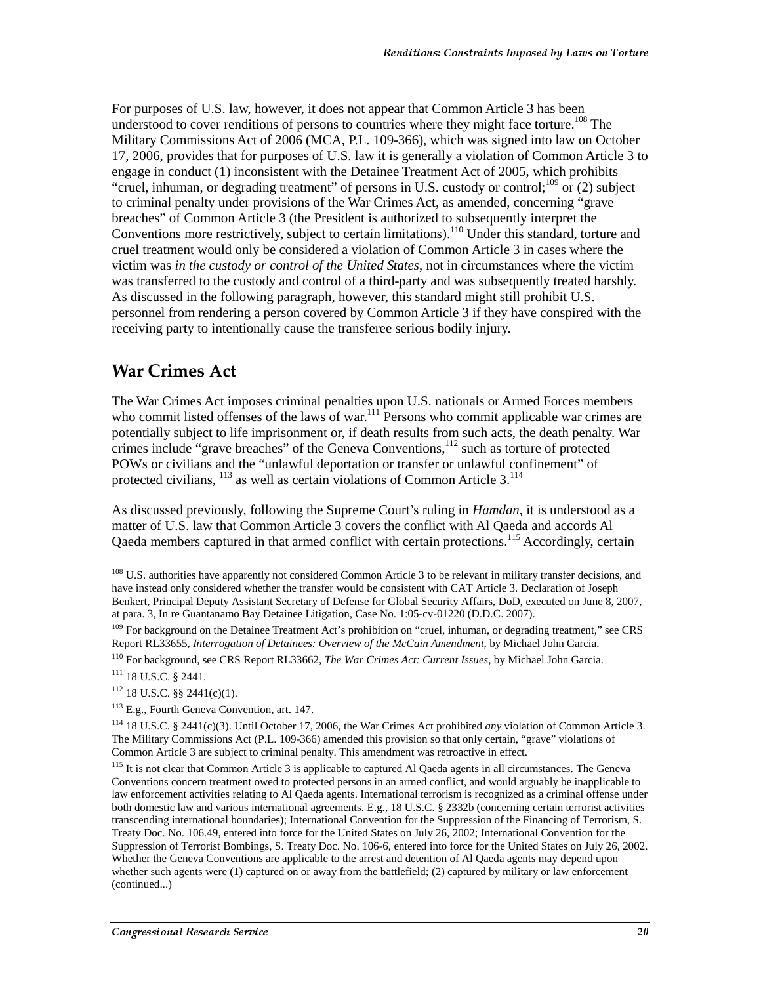For purposes of U.S. law, however, it does not appear that Common Article 3 has been understood to cover renditions of persons to countries where they might face torture.<sup>108</sup> The Military Commissions Act of 2006 (MCA, P.L. 109-366), which was signed into law on October 17, 2006, provides that for purposes of U.S. law it is generally a violation of Common Article 3 to engage in conduct (1) inconsistent with the Detainee Treatment Act of 2005, which prohibits "cruel, inhuman, or degrading treatment" of persons in U.S. custody or control;  $^{109}$  or (2) subject to criminal penalty under provisions of the War Crimes Act, as amended, concerning "grave breaches" of Common Article 3 (the President is authorized to subsequently interpret the Conventions more restrictively, subject to certain limitations).<sup>110</sup> Under this standard, torture and cruel treatment would only be considered a violation of Common Article 3 in cases where the victim was *in the custody or control of the United States*, not in circumstances where the victim was transferred to the custody and control of a third-party and was subsequently treated harshly. As discussed in the following paragraph, however, this standard might still prohibit U.S. personnel from rendering a person covered by Common Article 3 if they have conspired with the receiving party to intentionally cause the transferee serious bodily injury.

#### War Crimes Act

The War Crimes Act imposes criminal penalties upon U.S. nationals or Armed Forces members who commit listed offenses of the laws of war.<sup>111</sup> Persons who commit applicable war crimes are potentially subject to life imprisonment or, if death results from such acts, the death penalty. War crimes include "grave breaches" of the Geneva Conventions,<sup>112</sup> such as torture of protected POWs or civilians and the "unlawful deportation or transfer or unlawful confinement" of protected civilians,  $^{113}$  as well as certain violations of Common Article 3.<sup>114</sup>

As discussed previously, following the Supreme Court's ruling in *Hamdan*, it is understood as a matter of U.S. law that Common Article 3 covers the conflict with Al Qaeda and accords Al Qaeda members captured in that armed conflict with certain protections.<sup>115</sup> Accordingly, certain

<sup>&</sup>lt;sup>108</sup> U.S. authorities have apparently not considered Common Article 3 to be relevant in military transfer decisions, and have instead only considered whether the transfer would be consistent with CAT Article 3. Declaration of Joseph Benkert, Principal Deputy Assistant Secretary of Defense for Global Security Affairs, DoD, executed on June 8, 2007, at para. 3, In re Guantanamo Bay Detainee Litigation, Case No. 1:05-cv-01220 (D.D.C. 2007).

<sup>&</sup>lt;sup>109</sup> For background on the Detainee Treatment Act's prohibition on "cruel, inhuman, or degrading treatment," see CRS Report RL33655, *Interrogation of Detainees: Overview of the McCain Amendment*, by Michael John Garcia.

<sup>110</sup> For background, see CRS Report RL33662, *The War Crimes Act: Current Issues*, by Michael John Garcia.

<sup>111 18</sup> U.S.C. § 2441.

 $112$  18 U.S.C. §§ 2441(c)(1).

<sup>113</sup> E.g., Fourth Geneva Convention, art. 147.

<sup>114 18</sup> U.S.C. § 2441(c)(3). Until October 17, 2006, the War Crimes Act prohibited *any* violation of Common Article 3. The Military Commissions Act (P.L. 109-366) amended this provision so that only certain, "grave" violations of Common Article 3 are subject to criminal penalty. This amendment was retroactive in effect.

<sup>&</sup>lt;sup>115</sup> It is not clear that Common Article 3 is applicable to captured Al Qaeda agents in all circumstances. The Geneva Conventions concern treatment owed to protected persons in an armed conflict, and would arguably be inapplicable to law enforcement activities relating to Al Qaeda agents. International terrorism is recognized as a criminal offense under both domestic law and various international agreements. E.g., 18 U.S.C. § 2332b (concerning certain terrorist activities transcending international boundaries); International Convention for the Suppression of the Financing of Terrorism, S. Treaty Doc. No. 106.49, entered into force for the United States on July 26, 2002; International Convention for the Suppression of Terrorist Bombings, S. Treaty Doc. No. 106-6, entered into force for the United States on July 26, 2002. Whether the Geneva Conventions are applicable to the arrest and detention of Al Qaeda agents may depend upon whether such agents were (1) captured on or away from the battlefield; (2) captured by military or law enforcement (continued...)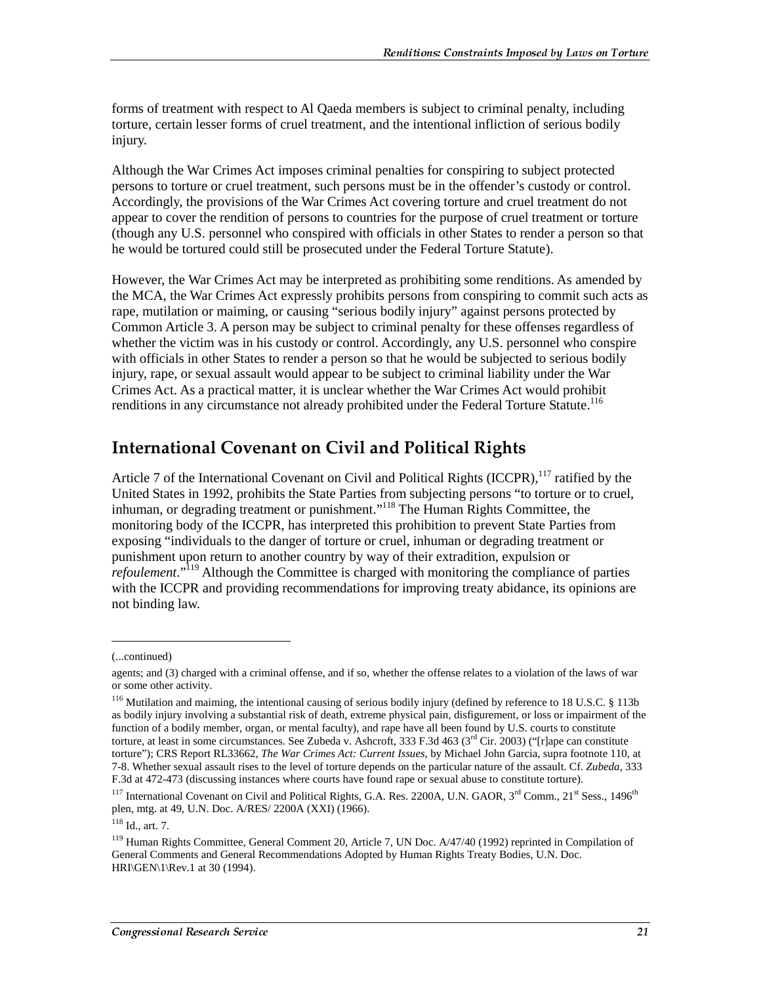forms of treatment with respect to Al Qaeda members is subject to criminal penalty, including torture, certain lesser forms of cruel treatment, and the intentional infliction of serious bodily injury.

Although the War Crimes Act imposes criminal penalties for conspiring to subject protected persons to torture or cruel treatment, such persons must be in the offender's custody or control. Accordingly, the provisions of the War Crimes Act covering torture and cruel treatment do not appear to cover the rendition of persons to countries for the purpose of cruel treatment or torture (though any U.S. personnel who conspired with officials in other States to render a person so that he would be tortured could still be prosecuted under the Federal Torture Statute).

However, the War Crimes Act may be interpreted as prohibiting some renditions. As amended by the MCA, the War Crimes Act expressly prohibits persons from conspiring to commit such acts as rape, mutilation or maiming, or causing "serious bodily injury" against persons protected by Common Article 3. A person may be subject to criminal penalty for these offenses regardless of whether the victim was in his custody or control. Accordingly, any U.S. personnel who conspire with officials in other States to render a person so that he would be subjected to serious bodily injury, rape, or sexual assault would appear to be subject to criminal liability under the War Crimes Act. As a practical matter, it is unclear whether the War Crimes Act would prohibit renditions in any circumstance not already prohibited under the Federal Torture Statute.<sup>116</sup>

#### **International Covenant on Civil and Political Rights**

Article 7 of the International Covenant on Civil and Political Rights (ICCPR),<sup>117</sup> ratified by the United States in 1992, prohibits the State Parties from subjecting persons "to torture or to cruel, inhuman, or degrading treatment or punishment."118 The Human Rights Committee, the monitoring body of the ICCPR, has interpreted this prohibition to prevent State Parties from exposing "individuals to the danger of torture or cruel, inhuman or degrading treatment or punishment upon return to another country by way of their extradition, expulsion or *refoulement*."119 Although the Committee is charged with monitoring the compliance of parties with the ICCPR and providing recommendations for improving treaty abidance, its opinions are not binding law.

<sup>(...</sup>continued)

agents; and (3) charged with a criminal offense, and if so, whether the offense relates to a violation of the laws of war or some other activity.

<sup>&</sup>lt;sup>116</sup> Mutilation and maiming, the intentional causing of serious bodily injury (defined by reference to 18 U.S.C. § 113b as bodily injury involving a substantial risk of death, extreme physical pain, disfigurement, or loss or impairment of the function of a bodily member, organ, or mental faculty), and rape have all been found by U.S. courts to constitute torture, at least in some circumstances. See Zubeda v. Ashcroft, 333 F.3d 463 ( $3<sup>rd</sup>$  Cir. 2003) ("[r]ape can constitute torture"); CRS Report RL33662, *The War Crimes Act: Current Issues*, by Michael John Garcia, supra footnote 110, at 7-8. Whether sexual assault rises to the level of torture depends on the particular nature of the assault. Cf. *Zubeda*, 333 F.3d at 472-473 (discussing instances where courts have found rape or sexual abuse to constitute torture).

 $117$  International Covenant on Civil and Political Rights, G.A. Res. 2200A, U.N. GAOR,  $3^{rd}$  Comm.,  $21^{st}$  Sess.,  $1496^{th}$ plen, mtg. at 49, U.N. Doc. A/RES/ 2200A (XXI) (1966).

 $118$  Id., art. 7.

<sup>119</sup> Human Rights Committee, General Comment 20, Article 7, UN Doc. A/47/40 (1992) reprinted in Compilation of General Comments and General Recommendations Adopted by Human Rights Treaty Bodies, U.N. Doc. HRI\GEN\1\Rev.1 at 30 (1994).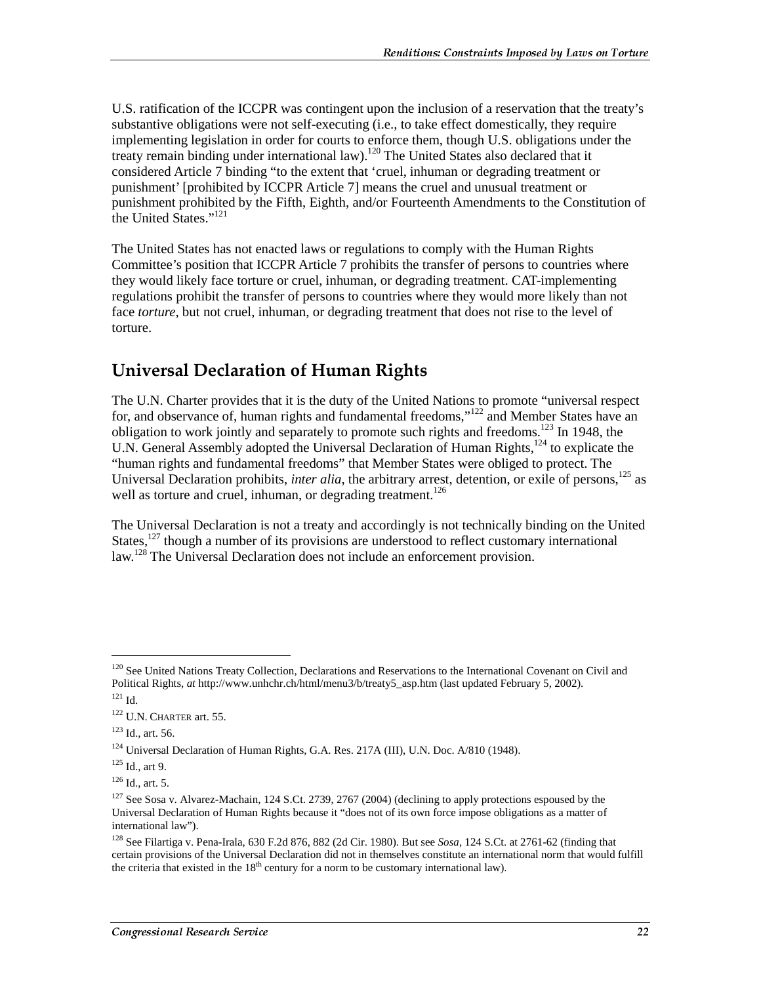U.S. ratification of the ICCPR was contingent upon the inclusion of a reservation that the treaty's substantive obligations were not self-executing (i.e., to take effect domestically, they require implementing legislation in order for courts to enforce them, though U.S. obligations under the treaty remain binding under international law).<sup>120</sup> The United States also declared that it considered Article 7 binding "to the extent that 'cruel, inhuman or degrading treatment or punishment' [prohibited by ICCPR Article 7] means the cruel and unusual treatment or punishment prohibited by the Fifth, Eighth, and/or Fourteenth Amendments to the Constitution of the United States."<sup>121</sup>

The United States has not enacted laws or regulations to comply with the Human Rights Committee's position that ICCPR Article 7 prohibits the transfer of persons to countries where they would likely face torture or cruel, inhuman, or degrading treatment. CAT-implementing regulations prohibit the transfer of persons to countries where they would more likely than not face *torture*, but not cruel, inhuman, or degrading treatment that does not rise to the level of torture.

### **Universal Declaration of Human Rights**

The U.N. Charter provides that it is the duty of the United Nations to promote "universal respect for, and observance of, human rights and fundamental freedoms,"<sup>122</sup> and Member States have an obligation to work jointly and separately to promote such rights and freedoms.<sup>123</sup> In 1948, the U.N. General Assembly adopted the Universal Declaration of Human Rights,<sup>124</sup> to explicate the "human rights and fundamental freedoms" that Member States were obliged to protect. The Universal Declaration prohibits, *inter alia*, the arbitrary arrest, detention, or exile of persons,<sup>125</sup> as well as torture and cruel, inhuman, or degrading treatment.<sup>126</sup>

The Universal Declaration is not a treaty and accordingly is not technically binding on the United States,<sup>127</sup> though a number of its provisions are understood to reflect customary international law.<sup>128</sup> The Universal Declaration does not include an enforcement provision.

<sup>&</sup>lt;sup>120</sup> See United Nations Treaty Collection, Declarations and Reservations to the International Covenant on Civil and Political Rights, *at* http://www.unhchr.ch/html/menu3/b/treaty5\_asp.htm (last updated February 5, 2002).  $121$  Id.

<sup>&</sup>lt;sup>122</sup> U.N. CHARTER art. 55.

<sup>123</sup> Id., art. 56.

<sup>&</sup>lt;sup>124</sup> Universal Declaration of Human Rights, G.A. Res. 217A (III), U.N. Doc. A/810 (1948).

<sup>125</sup> Id., art 9.

 $126$  Id., art. 5.

<sup>&</sup>lt;sup>127</sup> See Sosa v. Alvarez-Machain, 124 S.Ct. 2739, 2767 (2004) (declining to apply protections espoused by the Universal Declaration of Human Rights because it "does not of its own force impose obligations as a matter of international law").

<sup>128</sup> See Filartiga v. Pena-Irala, 630 F.2d 876, 882 (2d Cir. 1980). But see *Sosa*, 124 S.Ct. at 2761-62 (finding that certain provisions of the Universal Declaration did not in themselves constitute an international norm that would fulfill the criteria that existed in the  $18<sup>th</sup>$  century for a norm to be customary international law).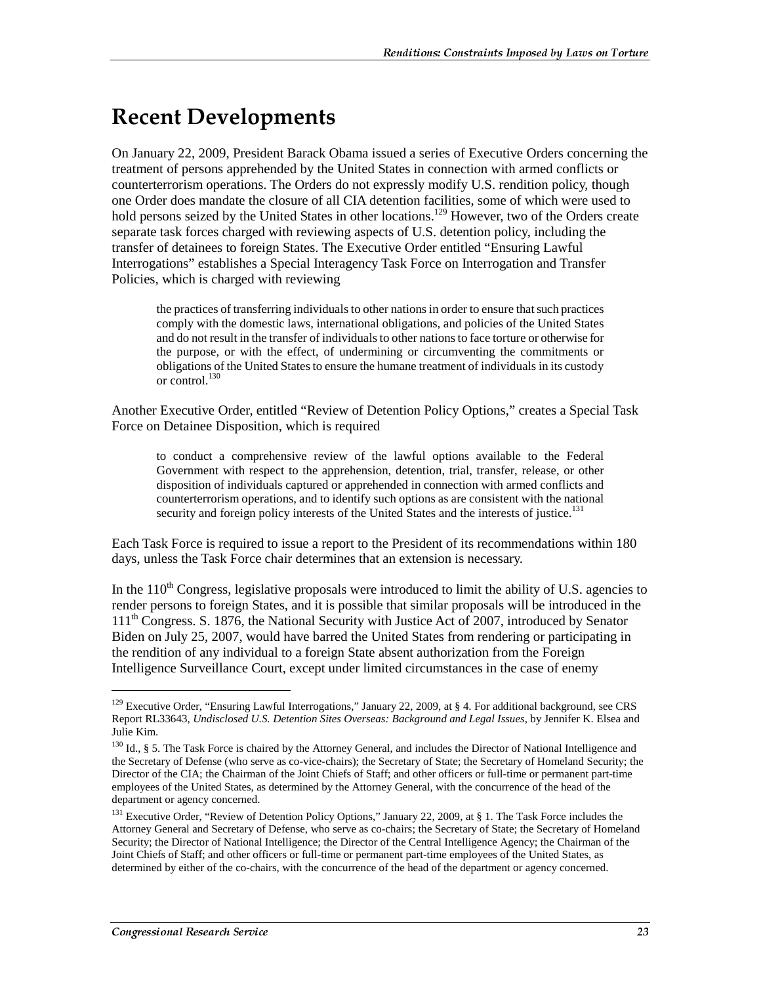## Recent Developments

On January 22, 2009, President Barack Obama issued a series of Executive Orders concerning the treatment of persons apprehended by the United States in connection with armed conflicts or counterterrorism operations. The Orders do not expressly modify U.S. rendition policy, though one Order does mandate the closure of all CIA detention facilities, some of which were used to hold persons seized by the United States in other locations.<sup>129</sup> However, two of the Orders create separate task forces charged with reviewing aspects of U.S. detention policy, including the transfer of detainees to foreign States. The Executive Order entitled "Ensuring Lawful Interrogations" establishes a Special Interagency Task Force on Interrogation and Transfer Policies, which is charged with reviewing

the practices of transferring individuals to other nations in order to ensure that such practices comply with the domestic laws, international obligations, and policies of the United States and do not result in the transfer of individuals to other nations to face torture or otherwise for the purpose, or with the effect, of undermining or circumventing the commitments or obligations of the United States to ensure the humane treatment of individuals in its custody or control.<sup>130</sup>

Another Executive Order, entitled "Review of Detention Policy Options," creates a Special Task Force on Detainee Disposition, which is required

to conduct a comprehensive review of the lawful options available to the Federal Government with respect to the apprehension, detention, trial, transfer, release, or other disposition of individuals captured or apprehended in connection with armed conflicts and counterterrorism operations, and to identify such options as are consistent with the national security and foreign policy interests of the United States and the interests of justice.<sup>131</sup>

Each Task Force is required to issue a report to the President of its recommendations within 180 days, unless the Task Force chair determines that an extension is necessary.

In the  $110<sup>th</sup>$  Congress, legislative proposals were introduced to limit the ability of U.S. agencies to render persons to foreign States, and it is possible that similar proposals will be introduced in the 111<sup>th</sup> Congress. S. 1876, the National Security with Justice Act of 2007, introduced by Senator Biden on July 25, 2007, would have barred the United States from rendering or participating in the rendition of any individual to a foreign State absent authorization from the Foreign Intelligence Surveillance Court, except under limited circumstances in the case of enemy

<sup>&</sup>lt;sup>129</sup> Executive Order, "Ensuring Lawful Interrogations," January 22, 2009, at § 4. For additional background, see CRS Report RL33643, *Undisclosed U.S. Detention Sites Overseas: Background and Legal Issues*, by Jennifer K. Elsea and Julie Kim.

<sup>130</sup> Id., § 5. The Task Force is chaired by the Attorney General, and includes the Director of National Intelligence and the Secretary of Defense (who serve as co-vice-chairs); the Secretary of State; the Secretary of Homeland Security; the Director of the CIA; the Chairman of the Joint Chiefs of Staff; and other officers or full-time or permanent part-time employees of the United States, as determined by the Attorney General, with the concurrence of the head of the department or agency concerned.

<sup>&</sup>lt;sup>131</sup> Executive Order, "Review of Detention Policy Options," January 22, 2009, at § 1. The Task Force includes the Attorney General and Secretary of Defense, who serve as co-chairs; the Secretary of State; the Secretary of Homeland Security; the Director of National Intelligence; the Director of the Central Intelligence Agency; the Chairman of the Joint Chiefs of Staff; and other officers or full-time or permanent part-time employees of the United States, as determined by either of the co-chairs, with the concurrence of the head of the department or agency concerned.